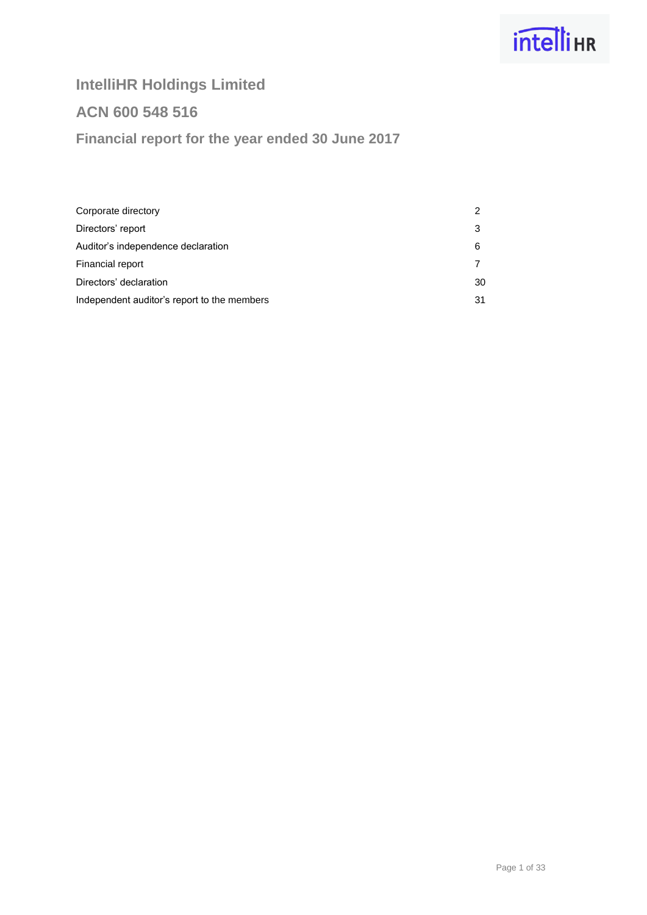# **intelli**HR

## **IntelliHR Holdings Limited**

## **ACN 600 548 516**

## **Financial report for the year ended 30 June 2017**

| Corporate directory                         |    |
|---------------------------------------------|----|
| Directors' report                           |    |
| Auditor's independence declaration          | 6  |
| Financial report                            |    |
| Directors' declaration                      | 30 |
| Independent auditor's report to the members | 31 |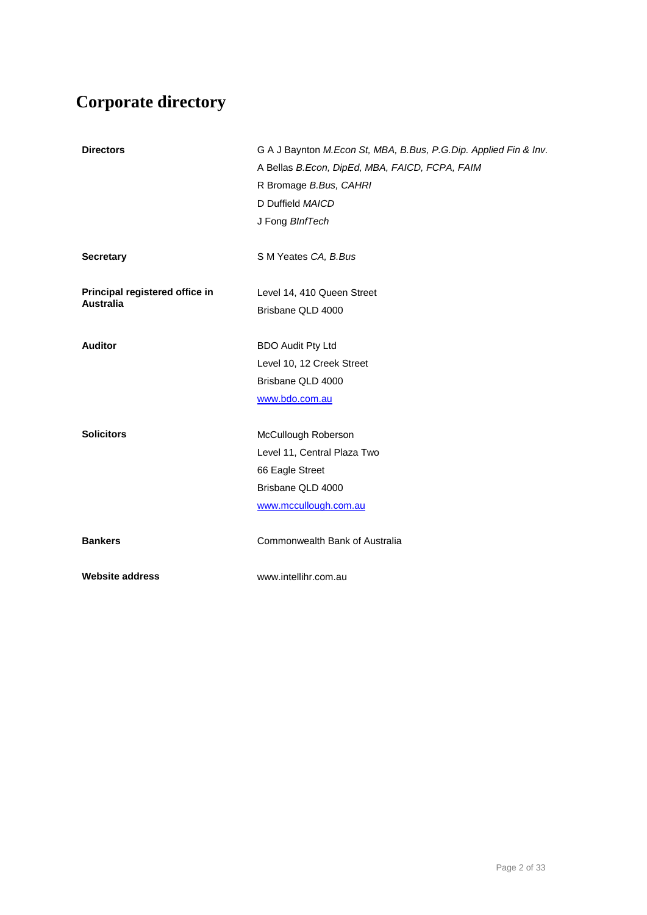## **Corporate directory**

| <b>Directors</b>                                   | G A J Baynton M.Econ St, MBA, B.Bus, P.G.Dip. Applied Fin & Inv.<br>A Bellas B.Econ, DipEd, MBA, FAICD, FCPA, FAIM<br>R Bromage B.Bus, CAHRI<br>D Duffield MAICD<br>J Fong BInfTech |
|----------------------------------------------------|-------------------------------------------------------------------------------------------------------------------------------------------------------------------------------------|
| <b>Secretary</b>                                   | S M Yeates CA, B.Bus                                                                                                                                                                |
| Principal registered office in<br><b>Australia</b> | Level 14, 410 Queen Street<br>Brisbane QLD 4000                                                                                                                                     |
| <b>Auditor</b>                                     | <b>BDO Audit Pty Ltd</b><br>Level 10, 12 Creek Street<br>Brisbane QLD 4000<br>www.bdo.com.au                                                                                        |
| <b>Solicitors</b>                                  | McCullough Roberson<br>Level 11, Central Plaza Two<br>66 Eagle Street<br>Brisbane QLD 4000<br>www.mccullough.com.au                                                                 |
| <b>Bankers</b>                                     | Commonwealth Bank of Australia                                                                                                                                                      |
| <b>Website address</b>                             | www.intellihr.com.au                                                                                                                                                                |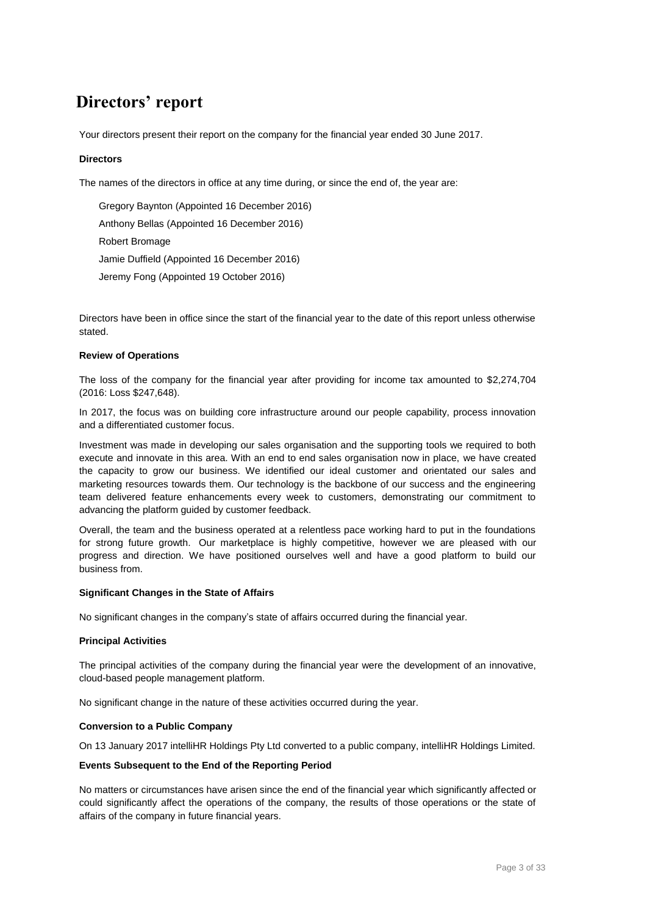## **Directors' report**

Your directors present their report on the company for the financial year ended 30 June 2017.

### **Directors**

The names of the directors in office at any time during, or since the end of, the year are:

Gregory Baynton (Appointed 16 December 2016) Anthony Bellas (Appointed 16 December 2016) Robert Bromage Jamie Duffield (Appointed 16 December 2016) Jeremy Fong (Appointed 19 October 2016)

Directors have been in office since the start of the financial year to the date of this report unless otherwise stated.

### **Review of Operations**

The loss of the company for the financial year after providing for income tax amounted to \$2,274,704 (2016: Loss \$247,648).

In 2017, the focus was on building core infrastructure around our people capability, process innovation and a differentiated customer focus.

Investment was made in developing our sales organisation and the supporting tools we required to both execute and innovate in this area. With an end to end sales organisation now in place, we have created the capacity to grow our business. We identified our ideal customer and orientated our sales and marketing resources towards them. Our technology is the backbone of our success and the engineering team delivered feature enhancements every week to customers, demonstrating our commitment to advancing the platform guided by customer feedback.

Overall, the team and the business operated at a relentless pace working hard to put in the foundations for strong future growth. Our marketplace is highly competitive, however we are pleased with our progress and direction. We have positioned ourselves well and have a good platform to build our business from.

### **Significant Changes in the State of Affairs**

No significant changes in the company's state of affairs occurred during the financial year.

### **Principal Activities**

The principal activities of the company during the financial year were the development of an innovative, cloud-based people management platform.

No significant change in the nature of these activities occurred during the year.

### **Conversion to a Public Company**

On 13 January 2017 intelliHR Holdings Pty Ltd converted to a public company, intelliHR Holdings Limited.

### **Events Subsequent to the End of the Reporting Period**

No matters or circumstances have arisen since the end of the financial year which significantly affected or could significantly affect the operations of the company, the results of those operations or the state of affairs of the company in future financial years.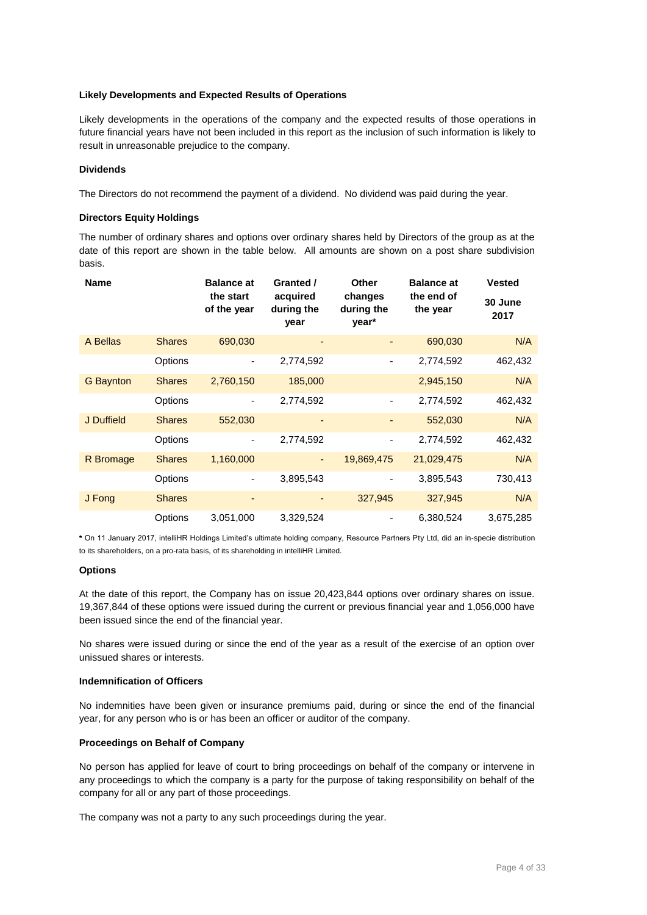### **Likely Developments and Expected Results of Operations**

Likely developments in the operations of the company and the expected results of those operations in future financial years have not been included in this report as the inclusion of such information is likely to result in unreasonable prejudice to the company.

### **Dividends**

The Directors do not recommend the payment of a dividend. No dividend was paid during the year.

### **Directors Equity Holdings**

The number of ordinary shares and options over ordinary shares held by Directors of the group as at the date of this report are shown in the table below. All amounts are shown on a post share subdivision basis.

| <b>Name</b>      |               | <b>Balance at</b><br>the start<br>of the year | Granted /<br>acquired<br>during the<br>year | Other<br>changes<br>during the<br>year* | <b>Balance at</b><br>the end of<br>the year | <b>Vested</b><br>30 June<br>2017 |
|------------------|---------------|-----------------------------------------------|---------------------------------------------|-----------------------------------------|---------------------------------------------|----------------------------------|
| A Bellas         | <b>Shares</b> | 690,030                                       |                                             |                                         | 690,030                                     | N/A                              |
|                  | Options       | $\qquad \qquad \blacksquare$                  | 2,774,592                                   | -                                       | 2,774,592                                   | 462,432                          |
| <b>G</b> Baynton | <b>Shares</b> | 2,760,150                                     | 185,000                                     |                                         | 2,945,150                                   | N/A                              |
|                  | Options       | ٠                                             | 2,774,592                                   | $\overline{\phantom{a}}$                | 2,774,592                                   | 462,432                          |
| J Duffield       | <b>Shares</b> | 552,030                                       |                                             |                                         | 552,030                                     | N/A                              |
|                  | Options       | ٠                                             | 2,774,592                                   | -                                       | 2,774,592                                   | 462,432                          |
| R Bromage        | <b>Shares</b> | 1,160,000                                     | ٠                                           | 19,869,475                              | 21,029,475                                  | N/A                              |
|                  | Options       | ۰                                             | 3,895,543                                   |                                         | 3,895,543                                   | 730,413                          |
| J Fong           | <b>Shares</b> | ٠                                             |                                             | 327,945                                 | 327,945                                     | N/A                              |
|                  | Options       | 3,051,000                                     | 3,329,524                                   |                                         | 6,380,524                                   | 3,675,285                        |

**\*** On 11 January 2017, intelliHR Holdings Limited's ultimate holding company, Resource Partners Pty Ltd, did an in-specie distribution to its shareholders, on a pro-rata basis, of its shareholding in intelliHR Limited.

### **Options**

At the date of this report, the Company has on issue 20,423,844 options over ordinary shares on issue. 19,367,844 of these options were issued during the current or previous financial year and 1,056,000 have been issued since the end of the financial year.

No shares were issued during or since the end of the year as a result of the exercise of an option over unissued shares or interests.

### **Indemnification of Officers**

No indemnities have been given or insurance premiums paid, during or since the end of the financial year, for any person who is or has been an officer or auditor of the company.

### **Proceedings on Behalf of Company**

No person has applied for leave of court to bring proceedings on behalf of the company or intervene in any proceedings to which the company is a party for the purpose of taking responsibility on behalf of the company for all or any part of those proceedings.

The company was not a party to any such proceedings during the year.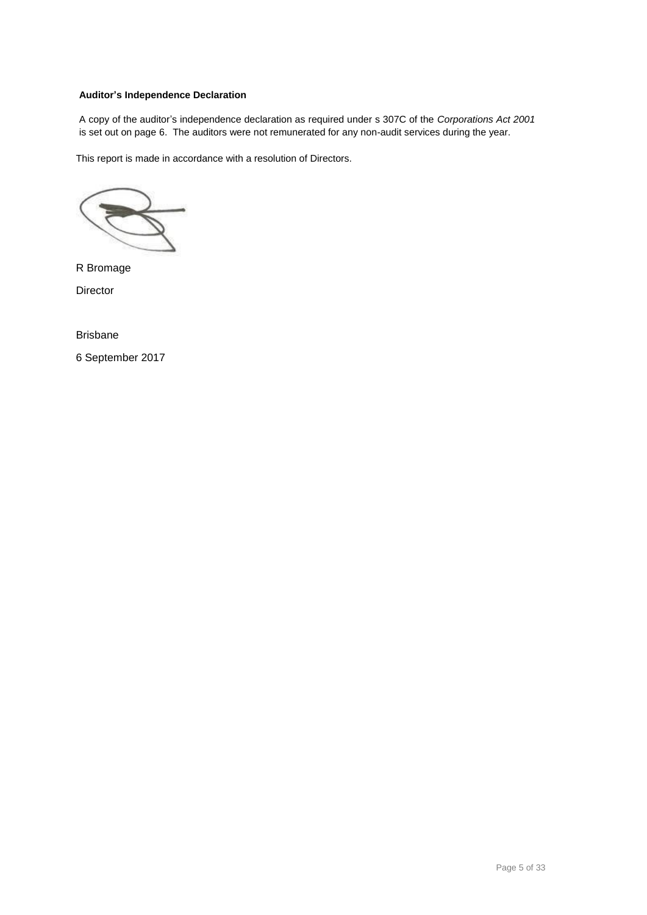### **Auditor's Independence Declaration**

A copy of the auditor's independence declaration as required under s 307C of the *Corporations Act 2001* is set out on page 6. The auditors were not remunerated for any non-audit services during the year.

This report is made in accordance with a resolution of Directors.

R Bromage **Director** 

Brisbane 6 September 2017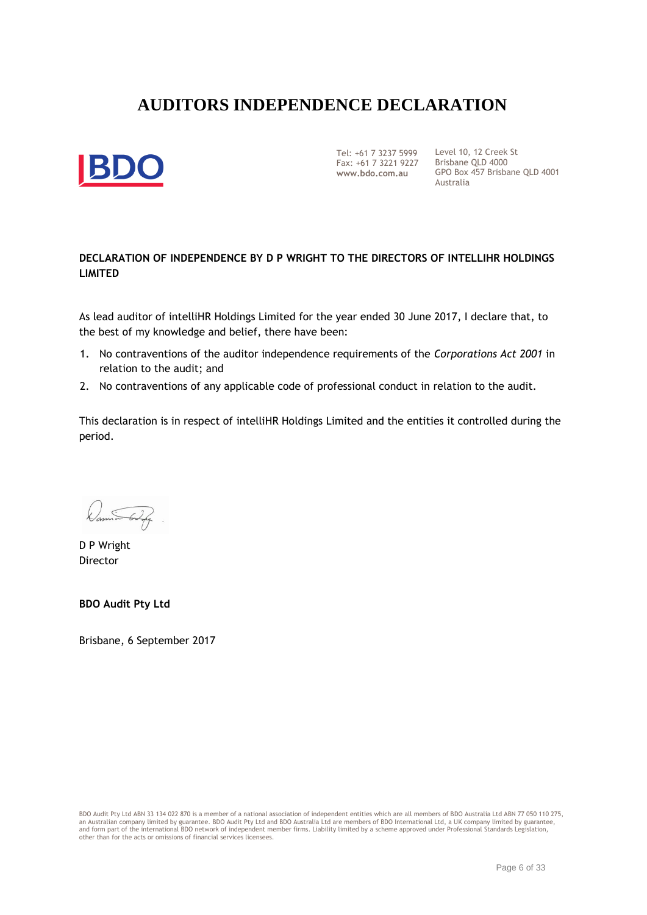## **AUDITORS INDEPENDENCE DECLARATION**



Tel: +61 7 3237 5999 Fax: +61 7 3221 9227 Brisbane QLD 4000 **www.bdo.com.au**

Level 10, 12 Creek St GPO Box 457 Brisbane QLD 4001 Australia

### **DECLARATION OF INDEPENDENCE BY D P WRIGHT TO THE DIRECTORS OF INTELLIHR HOLDINGS LIMITED**

As lead auditor of intelliHR Holdings Limited for the year ended 30 June 2017, I declare that, to the best of my knowledge and belief, there have been:

- 1. No contraventions of the auditor independence requirements of the *Corporations Act 2001* in relation to the audit; and
- 2. No contraventions of any applicable code of professional conduct in relation to the audit.

This declaration is in respect of intelliHR Holdings Limited and the entities it controlled during the period.

D P Wright Director

**BDO Audit Pty Ltd**

Brisbane, 6 September 2017

BDO Audit Pty Ltd ABN 33 134 022 870 is a member of a national association of independent entities which are all members of BDO Australia Ltd ABN 77 050 110 275, an Australian company limited by guarantee. BDO Audit Pty Ltd and BDO Australia Ltd are members of BDO International Ltd, a UK company limited by guarantee,<br>and form part of the international BDO network of independent mem other than for the acts or omissions of financial services licensees.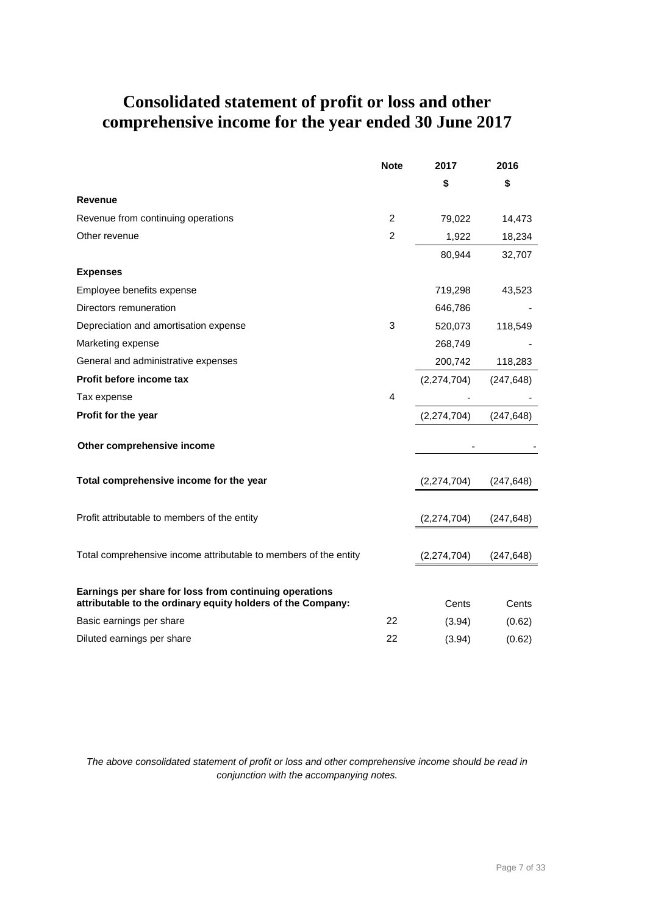## **Consolidated statement of profit or loss and other comprehensive income for the year ended 30 June 2017**

|                                                                                                                       | <b>Note</b>    | 2017          | 2016       |
|-----------------------------------------------------------------------------------------------------------------------|----------------|---------------|------------|
|                                                                                                                       |                | \$            | \$         |
| <b>Revenue</b>                                                                                                        |                |               |            |
| Revenue from continuing operations                                                                                    | $\overline{2}$ | 79,022        | 14,473     |
| Other revenue                                                                                                         | $\overline{2}$ | 1,922         | 18,234     |
|                                                                                                                       |                | 80,944        | 32,707     |
| <b>Expenses</b>                                                                                                       |                |               |            |
| Employee benefits expense                                                                                             |                | 719,298       | 43,523     |
| Directors remuneration                                                                                                |                | 646,786       |            |
| Depreciation and amortisation expense                                                                                 | 3              | 520,073       | 118,549    |
| Marketing expense                                                                                                     |                | 268,749       |            |
| General and administrative expenses                                                                                   |                | 200,742       | 118,283    |
| Profit before income tax                                                                                              |                | (2, 274, 704) | (247, 648) |
| Tax expense                                                                                                           | 4              |               |            |
| Profit for the year                                                                                                   |                | (2,274,704)   | (247, 648) |
| Other comprehensive income                                                                                            |                |               |            |
|                                                                                                                       |                |               |            |
| Total comprehensive income for the year                                                                               |                | (2,274,704)   | (247, 648) |
| Profit attributable to members of the entity                                                                          |                | (2,274,704)   | (247, 648) |
| Total comprehensive income attributable to members of the entity                                                      |                | (2,274,704)   | (247, 648) |
|                                                                                                                       |                |               |            |
| Earnings per share for loss from continuing operations<br>attributable to the ordinary equity holders of the Company: |                | Cents         | Cents      |
| Basic earnings per share                                                                                              | 22             | (3.94)        | (0.62)     |
| Diluted earnings per share                                                                                            | 22             | (3.94)        | (0.62)     |

*The above consolidated statement of profit or loss and other comprehensive income should be read in conjunction with the accompanying notes.*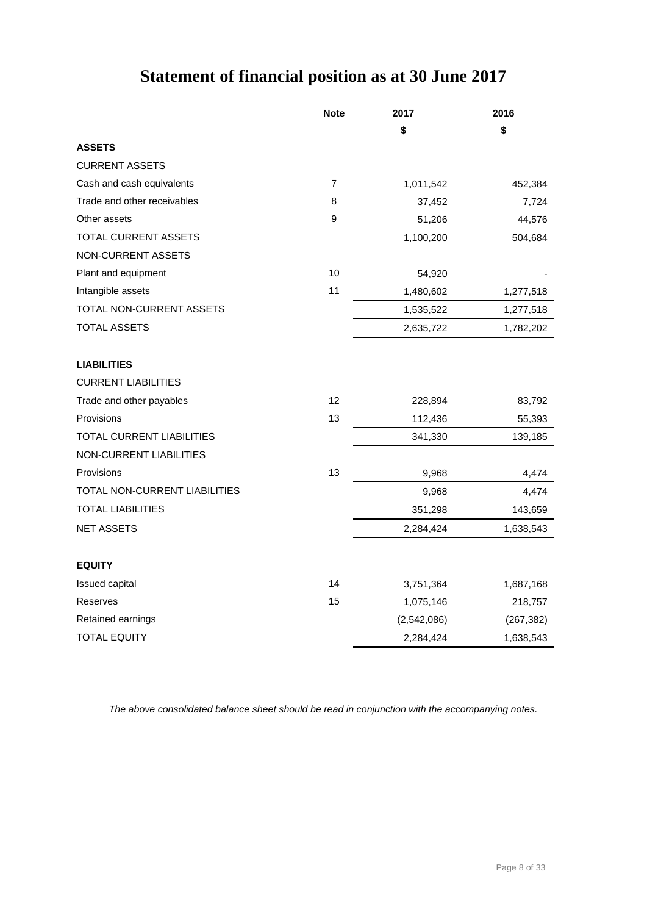## **Statement of financial position as at 30 June 2017**

|                               | <b>Note</b>      | 2017        | 2016       |
|-------------------------------|------------------|-------------|------------|
|                               |                  | \$          | \$         |
| <b>ASSETS</b>                 |                  |             |            |
| <b>CURRENT ASSETS</b>         |                  |             |            |
| Cash and cash equivalents     | $\overline{7}$   | 1,011,542   | 452,384    |
| Trade and other receivables   | 8                | 37,452      | 7,724      |
| Other assets                  | $\boldsymbol{9}$ | 51,206      | 44,576     |
| <b>TOTAL CURRENT ASSETS</b>   |                  | 1,100,200   | 504,684    |
| NON-CURRENT ASSETS            |                  |             |            |
| Plant and equipment           | 10               | 54,920      |            |
| Intangible assets             | 11               | 1,480,602   | 1,277,518  |
| TOTAL NON-CURRENT ASSETS      |                  | 1,535,522   | 1,277,518  |
| TOTAL ASSETS                  |                  | 2,635,722   | 1,782,202  |
| <b>LIABILITIES</b>            |                  |             |            |
| <b>CURRENT LIABILITIES</b>    |                  |             |            |
| Trade and other payables      | 12               | 228,894     | 83,792     |
| Provisions                    | 13               | 112,436     | 55,393     |
| TOTAL CURRENT LIABILITIES     |                  | 341,330     | 139,185    |
| NON-CURRENT LIABILITIES       |                  |             |            |
| Provisions                    | 13               | 9,968       | 4,474      |
| TOTAL NON-CURRENT LIABILITIES |                  | 9,968       | 4,474      |
| <b>TOTAL LIABILITIES</b>      |                  | 351,298     | 143,659    |
| <b>NET ASSETS</b>             |                  | 2,284,424   | 1,638,543  |
| <b>EQUITY</b>                 |                  |             |            |
| Issued capital                | 14               | 3,751,364   | 1,687,168  |
| Reserves                      | 15               | 1,075,146   | 218,757    |
| Retained earnings             |                  | (2,542,086) | (267, 382) |
| <b>TOTAL EQUITY</b>           |                  | 2,284,424   | 1,638,543  |

*The above consolidated balance sheet should be read in conjunction with the accompanying notes.*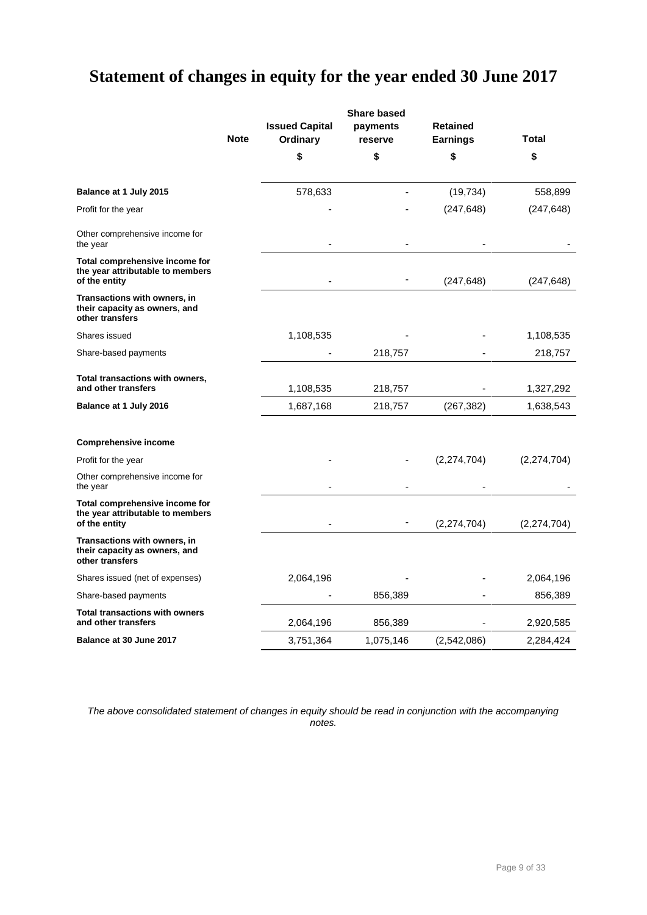## **Statement of changes in equity for the year ended 30 June 2017**

|                                                                                     |             |                                   | <b>Share based</b>  |                                    |               |
|-------------------------------------------------------------------------------------|-------------|-----------------------------------|---------------------|------------------------------------|---------------|
|                                                                                     | <b>Note</b> | <b>Issued Capital</b><br>Ordinary | payments<br>reserve | <b>Retained</b><br><b>Earnings</b> | Total         |
|                                                                                     |             | \$                                | \$                  | \$                                 | \$            |
| Balance at 1 July 2015                                                              |             | 578,633                           |                     | (19, 734)                          | 558,899       |
| Profit for the year                                                                 |             |                                   |                     | (247, 648)                         | (247, 648)    |
| Other comprehensive income for<br>the year                                          |             |                                   |                     |                                    |               |
| Total comprehensive income for<br>the year attributable to members<br>of the entity |             |                                   |                     | (247, 648)                         | (247, 648)    |
| Transactions with owners, in<br>their capacity as owners, and<br>other transfers    |             |                                   |                     |                                    |               |
| Shares issued                                                                       |             | 1,108,535                         |                     |                                    | 1,108,535     |
| Share-based payments                                                                |             |                                   | 218,757             |                                    | 218,757       |
| Total transactions with owners,<br>and other transfers                              |             | 1,108,535                         | 218,757             |                                    | 1,327,292     |
| Balance at 1 July 2016                                                              |             | 1,687,168                         | 218,757             | (267, 382)                         | 1,638,543     |
| <b>Comprehensive income</b>                                                         |             |                                   |                     |                                    |               |
| Profit for the year                                                                 |             |                                   |                     | (2, 274, 704)                      | (2, 274, 704) |
| Other comprehensive income for<br>the year                                          |             |                                   |                     |                                    |               |
| Total comprehensive income for<br>the year attributable to members<br>of the entity |             |                                   |                     | (2, 274, 704)                      | (2, 274, 704) |
| Transactions with owners, in<br>their capacity as owners, and<br>other transfers    |             |                                   |                     |                                    |               |
| Shares issued (net of expenses)                                                     |             | 2,064,196                         |                     |                                    | 2,064,196     |
| Share-based payments                                                                |             |                                   | 856,389             |                                    | 856,389       |
| <b>Total transactions with owners</b><br>and other transfers                        |             | 2,064,196                         | 856,389             |                                    | 2,920,585     |
| Balance at 30 June 2017                                                             |             | 3,751,364                         | 1,075,146           | (2,542,086)                        | 2,284,424     |

*The above consolidated statement of changes in equity should be read in conjunction with the accompanying notes.*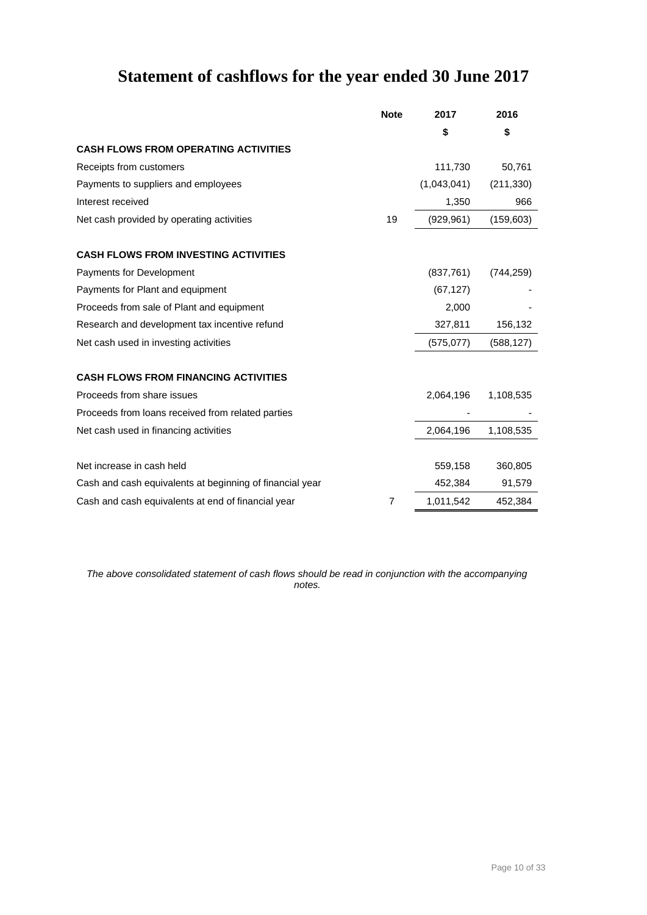## **Statement of cashflows for the year ended 30 June 2017**

|                                                          | <b>Note</b>    | 2017        | 2016       |
|----------------------------------------------------------|----------------|-------------|------------|
|                                                          |                | \$          | \$         |
| <b>CASH FLOWS FROM OPERATING ACTIVITIES</b>              |                |             |            |
| Receipts from customers                                  |                | 111,730     | 50,761     |
| Payments to suppliers and employees                      |                | (1,043,041) | (211, 330) |
| Interest received                                        |                | 1,350       | 966        |
| Net cash provided by operating activities                | 19             | (929, 961)  | (159, 603) |
| <b>CASH FLOWS FROM INVESTING ACTIVITIES</b>              |                |             |            |
| Payments for Development                                 |                | (837,761)   | (744, 259) |
| Payments for Plant and equipment                         |                | (67, 127)   |            |
| Proceeds from sale of Plant and equipment                |                | 2,000       |            |
| Research and development tax incentive refund            |                | 327,811     | 156,132    |
| Net cash used in investing activities                    |                | (575, 077)  | (588, 127) |
| <b>CASH FLOWS FROM FINANCING ACTIVITIES</b>              |                |             |            |
| Proceeds from share issues                               |                | 2,064,196   | 1,108,535  |
| Proceeds from loans received from related parties        |                |             |            |
| Net cash used in financing activities                    |                | 2,064,196   | 1,108,535  |
| Net increase in cash held                                |                | 559,158     | 360,805    |
| Cash and cash equivalents at beginning of financial year |                | 452,384     | 91,579     |
| Cash and cash equivalents at end of financial year       | $\overline{7}$ | 1,011,542   | 452,384    |

*The above consolidated statement of cash flows should be read in conjunction with the accompanying notes.*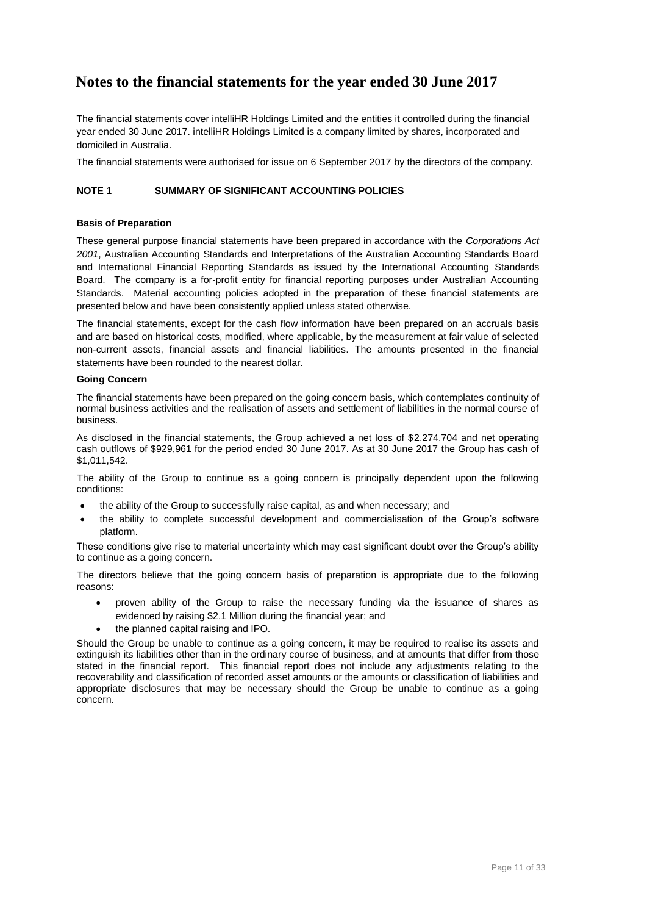### **Notes to the financial statements for the year ended 30 June 2017**

The financial statements cover intelliHR Holdings Limited and the entities it controlled during the financial year ended 30 June 2017. intelliHR Holdings Limited is a company limited by shares, incorporated and domiciled in Australia.

The financial statements were authorised for issue on 6 September 2017 by the directors of the company.

### **NOTE 1 SUMMARY OF SIGNIFICANT ACCOUNTING POLICIES**

### **Basis of Preparation**

These general purpose financial statements have been prepared in accordance with the *Corporations Act 2001*, Australian Accounting Standards and Interpretations of the Australian Accounting Standards Board and International Financial Reporting Standards as issued by the International Accounting Standards Board. The company is a for-profit entity for financial reporting purposes under Australian Accounting Standards. Material accounting policies adopted in the preparation of these financial statements are presented below and have been consistently applied unless stated otherwise.

The financial statements, except for the cash flow information have been prepared on an accruals basis and are based on historical costs, modified, where applicable, by the measurement at fair value of selected non-current assets, financial assets and financial liabilities. The amounts presented in the financial statements have been rounded to the nearest dollar.

### **Going Concern**

The financial statements have been prepared on the going concern basis, which contemplates continuity of normal business activities and the realisation of assets and settlement of liabilities in the normal course of business.

As disclosed in the financial statements, the Group achieved a net loss of \$2,274,704 and net operating cash outflows of \$929,961 for the period ended 30 June 2017. As at 30 June 2017 the Group has cash of \$1,011,542.

The ability of the Group to continue as a going concern is principally dependent upon the following conditions:

- the ability of the Group to successfully raise capital, as and when necessary; and
- the ability to complete successful development and commercialisation of the Group's software platform.

These conditions give rise to material uncertainty which may cast significant doubt over the Group's ability to continue as a going concern.

The directors believe that the going concern basis of preparation is appropriate due to the following reasons:

- proven ability of the Group to raise the necessary funding via the issuance of shares as evidenced by raising \$2.1 Million during the financial year; and
- the planned capital raising and IPO.

Should the Group be unable to continue as a going concern, it may be required to realise its assets and extinguish its liabilities other than in the ordinary course of business, and at amounts that differ from those stated in the financial report. This financial report does not include any adjustments relating to the recoverability and classification of recorded asset amounts or the amounts or classification of liabilities and appropriate disclosures that may be necessary should the Group be unable to continue as a going concern.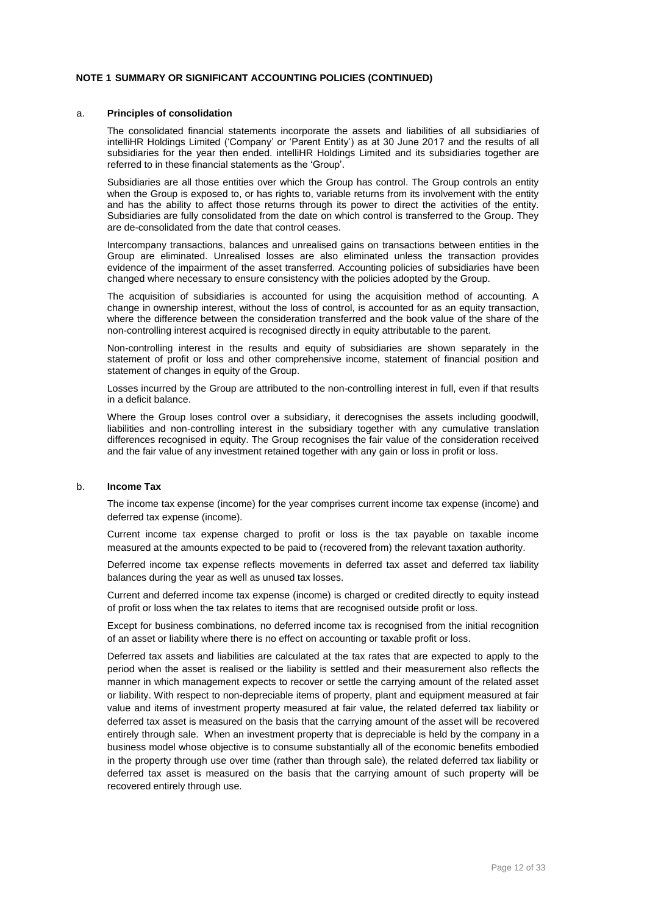### a. **Principles of consolidation**

The consolidated financial statements incorporate the assets and liabilities of all subsidiaries of intelliHR Holdings Limited ('Company' or 'Parent Entity') as at 30 June 2017 and the results of all subsidiaries for the year then ended. intelliHR Holdings Limited and its subsidiaries together are referred to in these financial statements as the 'Group'.

Subsidiaries are all those entities over which the Group has control. The Group controls an entity when the Group is exposed to, or has rights to, variable returns from its involvement with the entity and has the ability to affect those returns through its power to direct the activities of the entity. Subsidiaries are fully consolidated from the date on which control is transferred to the Group. They are de-consolidated from the date that control ceases.

Intercompany transactions, balances and unrealised gains on transactions between entities in the Group are eliminated. Unrealised losses are also eliminated unless the transaction provides evidence of the impairment of the asset transferred. Accounting policies of subsidiaries have been changed where necessary to ensure consistency with the policies adopted by the Group.

The acquisition of subsidiaries is accounted for using the acquisition method of accounting. A change in ownership interest, without the loss of control, is accounted for as an equity transaction, where the difference between the consideration transferred and the book value of the share of the non-controlling interest acquired is recognised directly in equity attributable to the parent.

Non-controlling interest in the results and equity of subsidiaries are shown separately in the statement of profit or loss and other comprehensive income, statement of financial position and statement of changes in equity of the Group.

Losses incurred by the Group are attributed to the non-controlling interest in full, even if that results in a deficit balance.

Where the Group loses control over a subsidiary, it derecognises the assets including goodwill, liabilities and non-controlling interest in the subsidiary together with any cumulative translation differences recognised in equity. The Group recognises the fair value of the consideration received and the fair value of any investment retained together with any gain or loss in profit or loss.

### b. **Income Tax**

The income tax expense (income) for the year comprises current income tax expense (income) and deferred tax expense (income).

Current income tax expense charged to profit or loss is the tax payable on taxable income measured at the amounts expected to be paid to (recovered from) the relevant taxation authority.

Deferred income tax expense reflects movements in deferred tax asset and deferred tax liability balances during the year as well as unused tax losses.

Current and deferred income tax expense (income) is charged or credited directly to equity instead of profit or loss when the tax relates to items that are recognised outside profit or loss.

Except for business combinations, no deferred income tax is recognised from the initial recognition of an asset or liability where there is no effect on accounting or taxable profit or loss.

Deferred tax assets and liabilities are calculated at the tax rates that are expected to apply to the period when the asset is realised or the liability is settled and their measurement also reflects the manner in which management expects to recover or settle the carrying amount of the related asset or liability. With respect to non-depreciable items of property, plant and equipment measured at fair value and items of investment property measured at fair value, the related deferred tax liability or deferred tax asset is measured on the basis that the carrying amount of the asset will be recovered entirely through sale. When an investment property that is depreciable is held by the company in a business model whose objective is to consume substantially all of the economic benefits embodied in the property through use over time (rather than through sale), the related deferred tax liability or deferred tax asset is measured on the basis that the carrying amount of such property will be recovered entirely through use.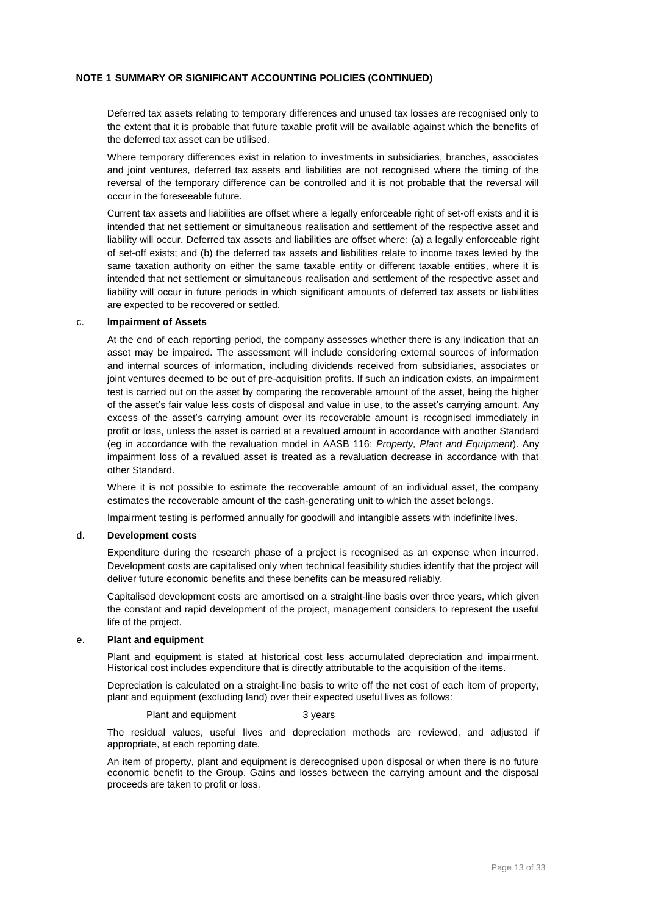Deferred tax assets relating to temporary differences and unused tax losses are recognised only to the extent that it is probable that future taxable profit will be available against which the benefits of the deferred tax asset can be utilised.

Where temporary differences exist in relation to investments in subsidiaries, branches, associates and joint ventures, deferred tax assets and liabilities are not recognised where the timing of the reversal of the temporary difference can be controlled and it is not probable that the reversal will occur in the foreseeable future.

Current tax assets and liabilities are offset where a legally enforceable right of set-off exists and it is intended that net settlement or simultaneous realisation and settlement of the respective asset and liability will occur. Deferred tax assets and liabilities are offset where: (a) a legally enforceable right of set-off exists; and (b) the deferred tax assets and liabilities relate to income taxes levied by the same taxation authority on either the same taxable entity or different taxable entities, where it is intended that net settlement or simultaneous realisation and settlement of the respective asset and liability will occur in future periods in which significant amounts of deferred tax assets or liabilities are expected to be recovered or settled.

### c. **Impairment of Assets**

At the end of each reporting period, the company assesses whether there is any indication that an asset may be impaired. The assessment will include considering external sources of information and internal sources of information, including dividends received from subsidiaries, associates or joint ventures deemed to be out of pre-acquisition profits. If such an indication exists, an impairment test is carried out on the asset by comparing the recoverable amount of the asset, being the higher of the asset's fair value less costs of disposal and value in use, to the asset's carrying amount. Any excess of the asset's carrying amount over its recoverable amount is recognised immediately in profit or loss, unless the asset is carried at a revalued amount in accordance with another Standard (eg in accordance with the revaluation model in AASB 116: *Property, Plant and Equipment*). Any impairment loss of a revalued asset is treated as a revaluation decrease in accordance with that other Standard.

Where it is not possible to estimate the recoverable amount of an individual asset, the company estimates the recoverable amount of the cash-generating unit to which the asset belongs.

Impairment testing is performed annually for goodwill and intangible assets with indefinite lives.

### d. **Development costs**

Expenditure during the research phase of a project is recognised as an expense when incurred. Development costs are capitalised only when technical feasibility studies identify that the project will deliver future economic benefits and these benefits can be measured reliably.

Capitalised development costs are amortised on a straight-line basis over three years, which given the constant and rapid development of the project, management considers to represent the useful life of the project.

### e. **Plant and equipment**

Plant and equipment is stated at historical cost less accumulated depreciation and impairment. Historical cost includes expenditure that is directly attributable to the acquisition of the items.

Depreciation is calculated on a straight-line basis to write off the net cost of each item of property, plant and equipment (excluding land) over their expected useful lives as follows:

#### Plant and equipment 3 years

The residual values, useful lives and depreciation methods are reviewed, and adjusted if appropriate, at each reporting date.

An item of property, plant and equipment is derecognised upon disposal or when there is no future economic benefit to the Group. Gains and losses between the carrying amount and the disposal proceeds are taken to profit or loss.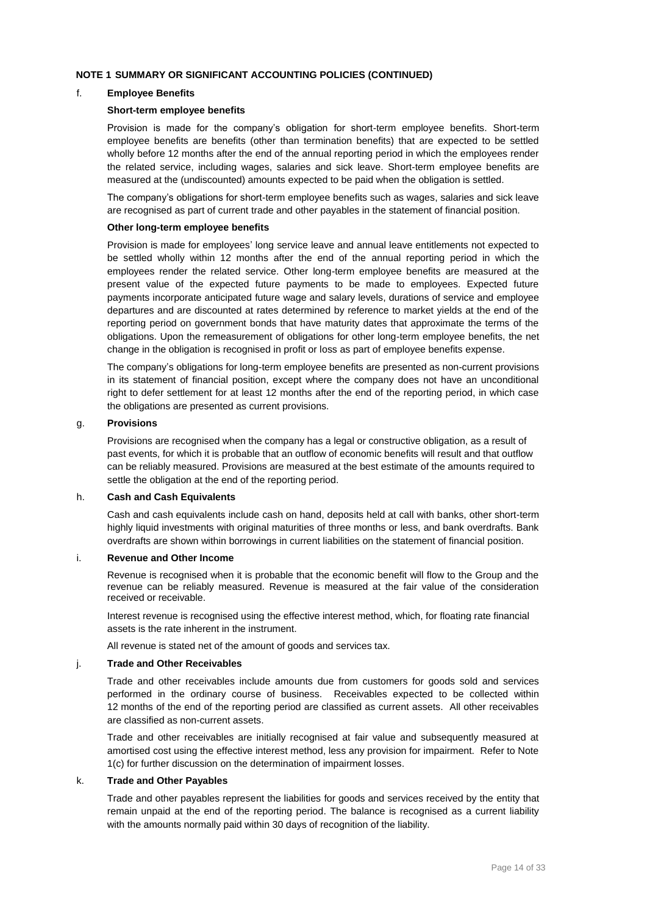### f. **Employee Benefits**

### **Short-term employee benefits**

Provision is made for the company's obligation for short-term employee benefits. Short-term employee benefits are benefits (other than termination benefits) that are expected to be settled wholly before 12 months after the end of the annual reporting period in which the employees render the related service, including wages, salaries and sick leave. Short-term employee benefits are measured at the (undiscounted) amounts expected to be paid when the obligation is settled.

The company's obligations for short-term employee benefits such as wages, salaries and sick leave are recognised as part of current trade and other payables in the statement of financial position.

### **Other long-term employee benefits**

Provision is made for employees' long service leave and annual leave entitlements not expected to be settled wholly within 12 months after the end of the annual reporting period in which the employees render the related service. Other long-term employee benefits are measured at the present value of the expected future payments to be made to employees. Expected future payments incorporate anticipated future wage and salary levels, durations of service and employee departures and are discounted at rates determined by reference to market yields at the end of the reporting period on government bonds that have maturity dates that approximate the terms of the obligations. Upon the remeasurement of obligations for other long-term employee benefits, the net change in the obligation is recognised in profit or loss as part of employee benefits expense.

The company's obligations for long-term employee benefits are presented as non-current provisions in its statement of financial position, except where the company does not have an unconditional right to defer settlement for at least 12 months after the end of the reporting period, in which case the obligations are presented as current provisions.

### g. **Provisions**

Provisions are recognised when the company has a legal or constructive obligation, as a result of past events, for which it is probable that an outflow of economic benefits will result and that outflow can be reliably measured. Provisions are measured at the best estimate of the amounts required to settle the obligation at the end of the reporting period.

### h. **Cash and Cash Equivalents**

Cash and cash equivalents include cash on hand, deposits held at call with banks, other short-term highly liquid investments with original maturities of three months or less, and bank overdrafts. Bank overdrafts are shown within borrowings in current liabilities on the statement of financial position.

#### i. **Revenue and Other Income**

Revenue is recognised when it is probable that the economic benefit will flow to the Group and the revenue can be reliably measured. Revenue is measured at the fair value of the consideration received or receivable.

Interest revenue is recognised using the effective interest method, which, for floating rate financial assets is the rate inherent in the instrument.

All revenue is stated net of the amount of goods and services tax.

### j. **Trade and Other Receivables**

Trade and other receivables include amounts due from customers for goods sold and services performed in the ordinary course of business. Receivables expected to be collected within 12 months of the end of the reporting period are classified as current assets. All other receivables are classified as non-current assets.

Trade and other receivables are initially recognised at fair value and subsequently measured at amortised cost using the effective interest method, less any provision for impairment. Refer to Note 1(c) for further discussion on the determination of impairment losses.

### k. **Trade and Other Payables**

Trade and other payables represent the liabilities for goods and services received by the entity that remain unpaid at the end of the reporting period. The balance is recognised as a current liability with the amounts normally paid within 30 days of recognition of the liability.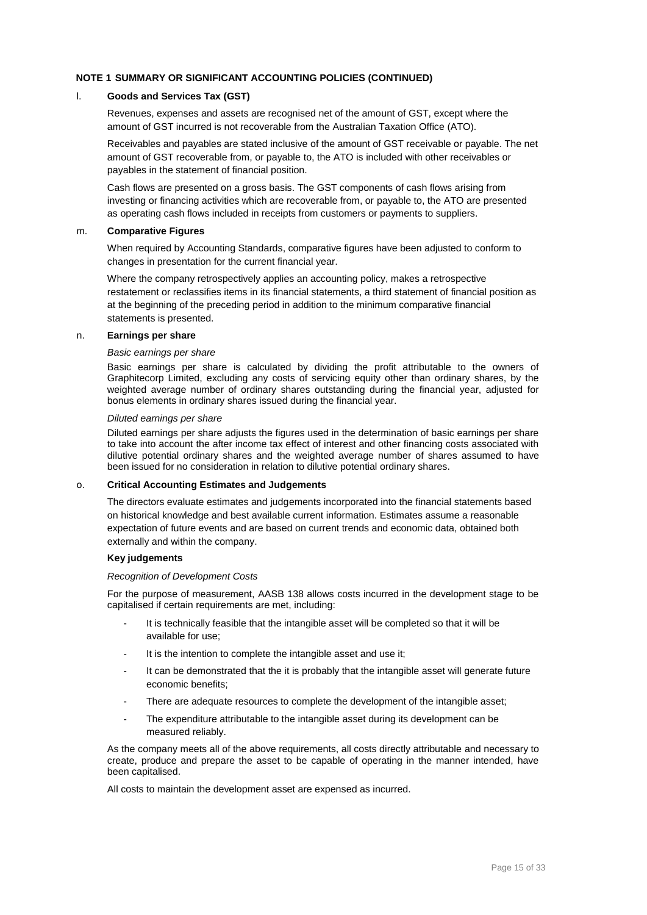### l. **Goods and Services Tax (GST)**

Revenues, expenses and assets are recognised net of the amount of GST, except where the amount of GST incurred is not recoverable from the Australian Taxation Office (ATO).

Receivables and payables are stated inclusive of the amount of GST receivable or payable. The net amount of GST recoverable from, or payable to, the ATO is included with other receivables or payables in the statement of financial position.

Cash flows are presented on a gross basis. The GST components of cash flows arising from investing or financing activities which are recoverable from, or payable to, the ATO are presented as operating cash flows included in receipts from customers or payments to suppliers.

### m. **Comparative Figures**

When required by Accounting Standards, comparative figures have been adjusted to conform to changes in presentation for the current financial year.

Where the company retrospectively applies an accounting policy, makes a retrospective restatement or reclassifies items in its financial statements, a third statement of financial position as at the beginning of the preceding period in addition to the minimum comparative financial statements is presented.

### n. **Earnings per share**

### *Basic earnings per share*

Basic earnings per share is calculated by dividing the profit attributable to the owners of Graphitecorp Limited, excluding any costs of servicing equity other than ordinary shares, by the weighted average number of ordinary shares outstanding during the financial year, adjusted for bonus elements in ordinary shares issued during the financial year.

### *Diluted earnings per share*

Diluted earnings per share adjusts the figures used in the determination of basic earnings per share to take into account the after income tax effect of interest and other financing costs associated with dilutive potential ordinary shares and the weighted average number of shares assumed to have been issued for no consideration in relation to dilutive potential ordinary shares.

### o. **Critical Accounting Estimates and Judgements**

The directors evaluate estimates and judgements incorporated into the financial statements based on historical knowledge and best available current information. Estimates assume a reasonable expectation of future events and are based on current trends and economic data, obtained both externally and within the company.

### **Key judgements**

### *Recognition of Development Costs*

For the purpose of measurement, AASB 138 allows costs incurred in the development stage to be capitalised if certain requirements are met, including:

- It is technically feasible that the intangible asset will be completed so that it will be available for use;
- It is the intention to complete the intangible asset and use it;
- It can be demonstrated that the it is probably that the intangible asset will generate future economic benefits;
- There are adequate resources to complete the development of the intangible asset;
- The expenditure attributable to the intangible asset during its development can be measured reliably.

As the company meets all of the above requirements, all costs directly attributable and necessary to create, produce and prepare the asset to be capable of operating in the manner intended, have been capitalised.

All costs to maintain the development asset are expensed as incurred.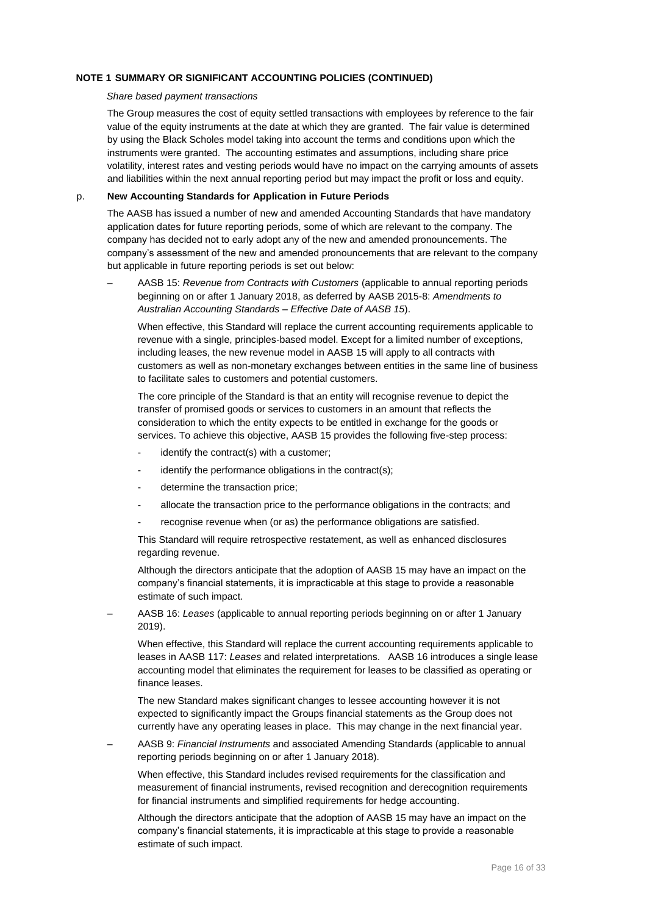### *Share based payment transactions*

The Group measures the cost of equity settled transactions with employees by reference to the fair value of the equity instruments at the date at which they are granted. The fair value is determined by using the Black Scholes model taking into account the terms and conditions upon which the instruments were granted. The accounting estimates and assumptions, including share price volatility, interest rates and vesting periods would have no impact on the carrying amounts of assets and liabilities within the next annual reporting period but may impact the profit or loss and equity.

### p. **New Accounting Standards for Application in Future Periods**

The AASB has issued a number of new and amended Accounting Standards that have mandatory application dates for future reporting periods, some of which are relevant to the company. The company has decided not to early adopt any of the new and amended pronouncements. The company's assessment of the new and amended pronouncements that are relevant to the company but applicable in future reporting periods is set out below:

– AASB 15: *Revenue from Contracts with Customers* (applicable to annual reporting periods beginning on or after 1 January 2018, as deferred by AASB 2015-8: *Amendments to Australian Accounting Standards – Effective Date of AASB 15*).

When effective, this Standard will replace the current accounting requirements applicable to revenue with a single, principles-based model. Except for a limited number of exceptions, including leases, the new revenue model in AASB 15 will apply to all contracts with customers as well as non-monetary exchanges between entities in the same line of business to facilitate sales to customers and potential customers.

The core principle of the Standard is that an entity will recognise revenue to depict the transfer of promised goods or services to customers in an amount that reflects the consideration to which the entity expects to be entitled in exchange for the goods or services. To achieve this objective, AASB 15 provides the following five-step process:

- identify the contract(s) with a customer;
- identify the performance obligations in the contract(s);
- determine the transaction price;
- allocate the transaction price to the performance obligations in the contracts; and
- recognise revenue when (or as) the performance obligations are satisfied.

This Standard will require retrospective restatement, as well as enhanced disclosures regarding revenue.

Although the directors anticipate that the adoption of AASB 15 may have an impact on the company's financial statements, it is impracticable at this stage to provide a reasonable estimate of such impact.

– AASB 16: *Leases* (applicable to annual reporting periods beginning on or after 1 January 2019).

When effective, this Standard will replace the current accounting requirements applicable to leases in AASB 117: *Leases* and related interpretations. AASB 16 introduces a single lease accounting model that eliminates the requirement for leases to be classified as operating or finance leases.

The new Standard makes significant changes to lessee accounting however it is not expected to significantly impact the Groups financial statements as the Group does not currently have any operating leases in place. This may change in the next financial year.

– AASB 9: *Financial Instruments* and associated Amending Standards (applicable to annual reporting periods beginning on or after 1 January 2018).

When effective, this Standard includes revised requirements for the classification and measurement of financial instruments, revised recognition and derecognition requirements for financial instruments and simplified requirements for hedge accounting.

Although the directors anticipate that the adoption of AASB 15 may have an impact on the company's financial statements, it is impracticable at this stage to provide a reasonable estimate of such impact.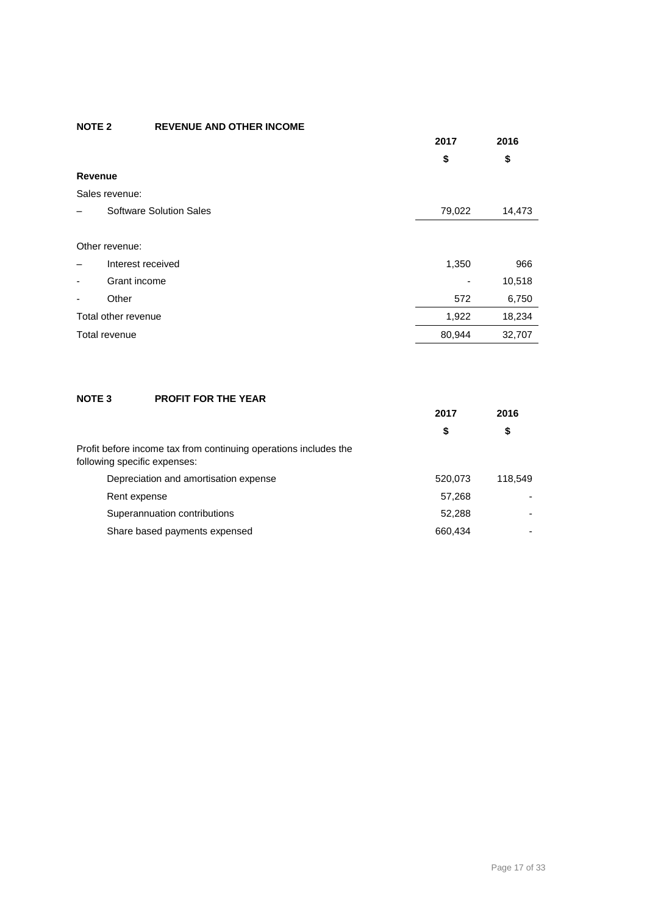### **NOTE 2 REVENUE AND OTHER INCOME**

|                |                                | 2017   | 2016   |
|----------------|--------------------------------|--------|--------|
|                |                                | \$     | \$     |
| Revenue        |                                |        |        |
|                | Sales revenue:                 |        |        |
|                | <b>Software Solution Sales</b> | 79,022 | 14,473 |
|                |                                |        |        |
|                | Other revenue:                 |        |        |
|                | Interest received              | 1,350  | 966    |
| $\blacksquare$ | Grant income                   |        | 10,518 |
| -              | Other                          | 572    | 6,750  |
|                | Total other revenue            | 1,922  | 18,234 |
|                | Total revenue                  | 80,944 | 32,707 |

### **NOTE 3 PROFIT FOR THE YEAR**

|                                                                                                  | 2017<br>\$ |         | 2016 |
|--------------------------------------------------------------------------------------------------|------------|---------|------|
|                                                                                                  |            | \$      |      |
| Profit before income tax from continuing operations includes the<br>following specific expenses: |            |         |      |
| Depreciation and amortisation expense                                                            | 520,073    | 118.549 |      |
| Rent expense                                                                                     | 57,268     |         |      |
| Superannuation contributions                                                                     | 52,288     | ۰       |      |
| Share based payments expensed                                                                    | 660,434    |         |      |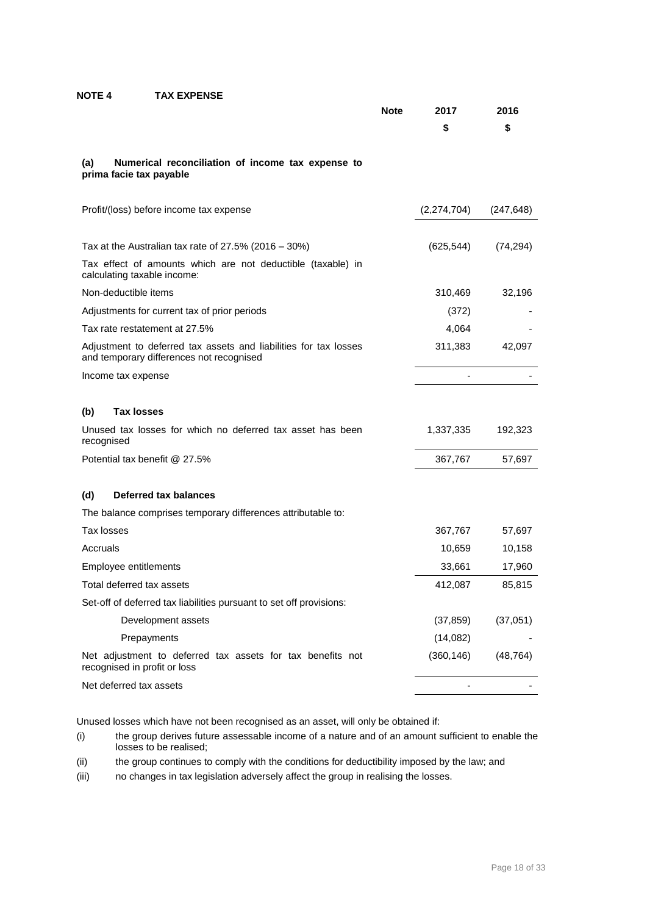### **NOTE 4 TAX EXPENSE**

|                                                                                                              | <b>Note</b> | 2017        | 2016       |
|--------------------------------------------------------------------------------------------------------------|-------------|-------------|------------|
|                                                                                                              |             | \$          | \$         |
| (a)<br>Numerical reconciliation of income tax expense to<br>prima facie tax payable                          |             |             |            |
| Profit/(loss) before income tax expense                                                                      |             | (2,274,704) | (247, 648) |
| Tax at the Australian tax rate of $27.5\%$ (2016 – 30%)                                                      |             | (625, 544)  | (74, 294)  |
| Tax effect of amounts which are not deductible (taxable) in<br>calculating taxable income:                   |             |             |            |
| Non-deductible items                                                                                         |             | 310,469     | 32,196     |
| Adjustments for current tax of prior periods                                                                 |             | (372)       |            |
| Tax rate restatement at 27.5%                                                                                |             | 4,064       |            |
| Adjustment to deferred tax assets and liabilities for tax losses<br>and temporary differences not recognised |             | 311,383     | 42,097     |
| Income tax expense                                                                                           |             |             |            |
| <b>Tax losses</b><br>(b)                                                                                     |             |             |            |
| Unused tax losses for which no deferred tax asset has been<br>recognised                                     |             | 1,337,335   | 192,323    |
| Potential tax benefit @ 27.5%                                                                                |             | 367,767     | 57,697     |
| Deferred tax balances<br>(d)                                                                                 |             |             |            |
| The balance comprises temporary differences attributable to:                                                 |             |             |            |
| Tax losses                                                                                                   |             | 367,767     | 57,697     |
| Accruals                                                                                                     |             | 10,659      | 10,158     |
| Employee entitlements                                                                                        |             | 33,661      | 17,960     |
| Total deferred tax assets                                                                                    |             | 412,087     | 85,815     |
| Set-off of deferred tax liabilities pursuant to set off provisions:                                          |             |             |            |
| Development assets                                                                                           |             | (37, 859)   | (37,051)   |
| Prepayments                                                                                                  |             | (14, 082)   |            |
| Net adjustment to deferred tax assets for tax benefits not<br>recognised in profit or loss                   |             | (360, 146)  | (48, 764)  |
| Net deferred tax assets                                                                                      |             |             |            |

Unused losses which have not been recognised as an asset, will only be obtained if:

- (i) the group derives future assessable income of a nature and of an amount sufficient to enable the losses to be realised;
- (ii) the group continues to comply with the conditions for deductibility imposed by the law; and
- (iii) no changes in tax legislation adversely affect the group in realising the losses.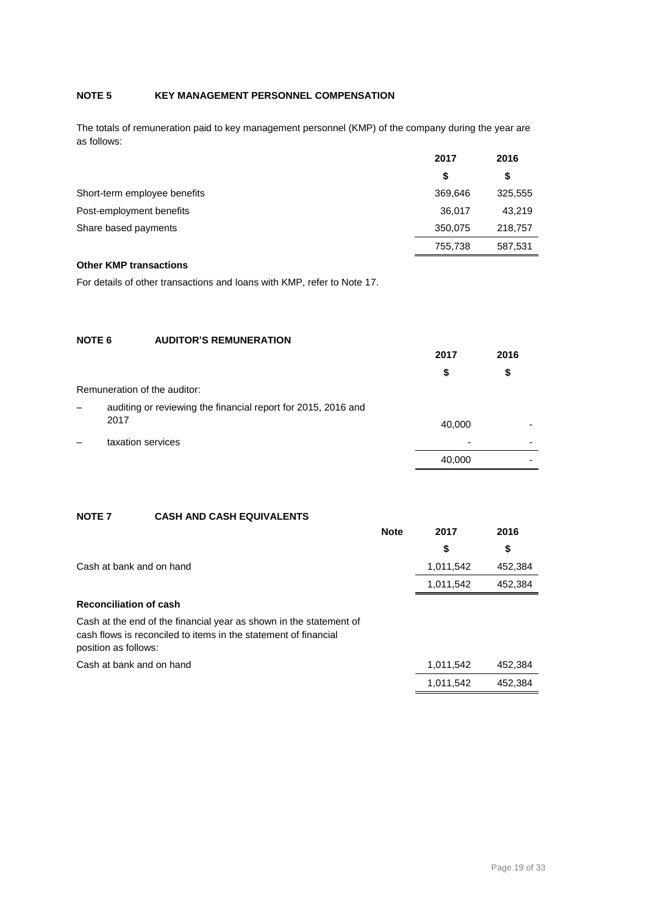### **NOTE 5 KEY MANAGEMENT PERSONNEL COMPENSATION**

The totals of remuneration paid to key management personnel (KMP) of the company during the year are as follows:

|                              | 2017    | 2016    |
|------------------------------|---------|---------|
|                              | \$      | \$      |
| Short-term employee benefits | 369,646 | 325,555 |
| Post-employment benefits     | 36,017  | 43.219  |
| Share based payments         | 350,075 | 218,757 |
|                              | 755,738 | 587,531 |

### **Other KMP transactions**

For details of other transactions and loans with KMP, refer to Note 17.

### **NOTE 6 AUDITOR'S REMUNERATION 2017 2016 \$ \$** Remuneration of the auditor: auditing or reviewing the financial report for 2015, 2016 and <sup>2017</sup> 40,000 - – taxation services - - 40,000 -

### **NOTE 7 CASH AND CASH EQUIVALENTS**

|                          | <b>Note</b> | 2017      | 2016    |
|--------------------------|-------------|-----------|---------|
|                          |             | S.        | -SS     |
| Cash at bank and on hand |             | 1,011,542 | 452,384 |
|                          |             | 1,011,542 | 452,384 |
|                          |             |           |         |

### **Reconciliation of cash**

Cash at the end of the financial year as shown in the statement of cash flows is reconciled to items in the statement of financial position as follows:

Cash at bank and on hand 1,011,542 452,384

1,011,542 452,384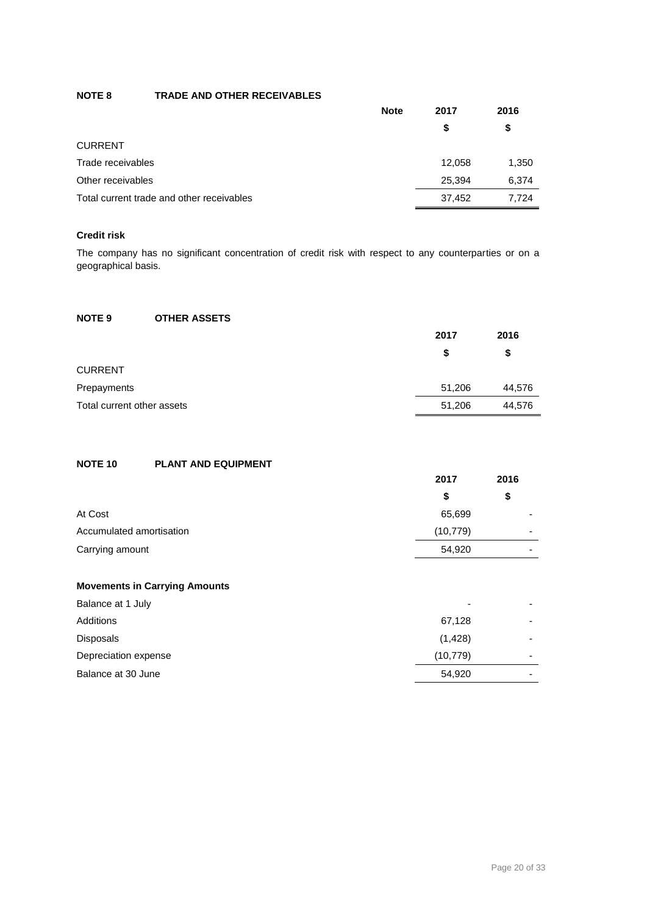### **NOTE 8 TRADE AND OTHER RECEIVABLES**

| <b>Note</b>                               | 2017   | 2016  |
|-------------------------------------------|--------|-------|
|                                           | S      | \$    |
| <b>CURRENT</b>                            |        |       |
| Trade receivables                         | 12.058 | 1,350 |
| Other receivables                         | 25.394 | 6,374 |
| Total current trade and other receivables | 37.452 | 7.724 |

### **Credit risk**

The company has no significant concentration of credit risk with respect to any counterparties or on a geographical basis.

### **NOTE 9 OTHER ASSETS**

|                            | 2017   | 2016   |
|----------------------------|--------|--------|
|                            | S      | \$     |
| <b>CURRENT</b>             |        |        |
| Prepayments                | 51.206 | 44,576 |
| Total current other assets | 51,206 | 44,576 |

### **NOTE 10 PLANT AND EQUIPMENT**

|                          | 2017      | 2016                     |
|--------------------------|-----------|--------------------------|
|                          | \$        | \$                       |
| At Cost                  | 65,699    | $\overline{\phantom{0}}$ |
| Accumulated amortisation | (10, 779) | $\overline{\phantom{0}}$ |
| Carrying amount          | 54,920    | $\overline{\phantom{0}}$ |
|                          |           |                          |

### **Movements in Carrying Amounts**

| Balance at 1 July    | $\overline{\phantom{0}}$ | -                        |
|----------------------|--------------------------|--------------------------|
| Additions            | 67,128                   | -                        |
| <b>Disposals</b>     | (1,428)                  | -                        |
| Depreciation expense | (10, 779)                | $\overline{\phantom{0}}$ |
| Balance at 30 June   | 54,920                   | -                        |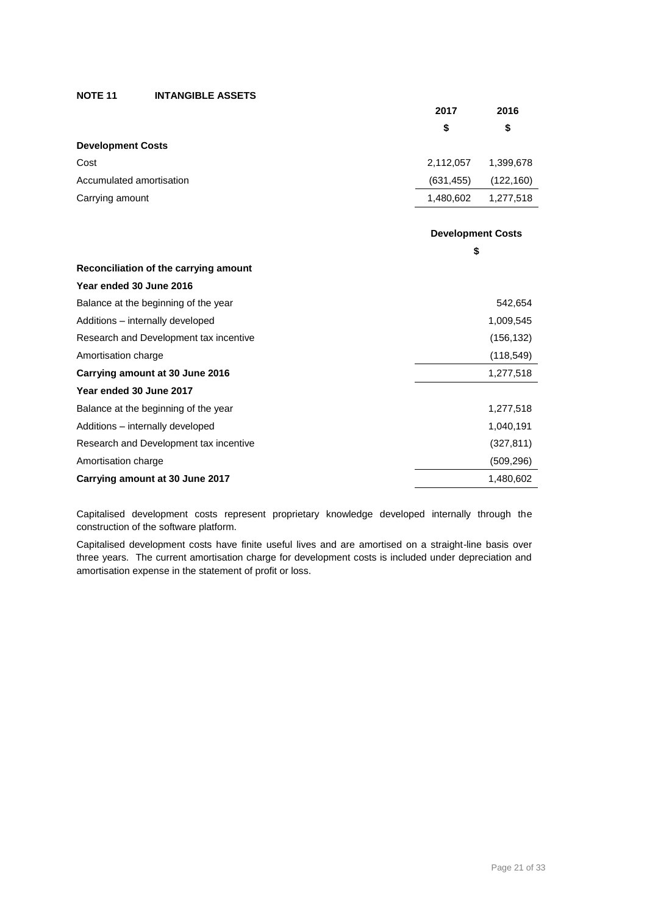**NOTE 11 INTANGIBLE ASSETS**

|                                       | 2017       | 2016                     |
|---------------------------------------|------------|--------------------------|
|                                       | \$         | \$                       |
| <b>Development Costs</b>              |            |                          |
| Cost                                  | 2,112,057  | 1,399,678                |
| Accumulated amortisation              | (631, 455) | (122, 160)               |
| Carrying amount                       | 1,480,602  | 1,277,518                |
|                                       |            |                          |
|                                       |            | <b>Development Costs</b> |
|                                       |            | \$                       |
| Reconciliation of the carrying amount |            |                          |
| Year ended 30 June 2016               |            |                          |
| Balance at the beginning of the year  |            | 542,654                  |
| Additions - internally developed      |            | 1,009,545                |

| Research and Development tax incentive | (156, 132) |
|----------------------------------------|------------|
| Amortisation charge                    | (118, 549) |
| Carrying amount at 30 June 2016        | 1,277,518  |
| Year ended 30 June 2017                |            |
| Balance at the beginning of the year   | 1,277,518  |
| Additions – internally developed       | 1,040,191  |
| Research and Development tax incentive | (327, 811) |
| Amortisation charge                    | (509, 296) |
| Carrying amount at 30 June 2017        | 1,480,602  |

Capitalised development costs represent proprietary knowledge developed internally through the construction of the software platform.

Capitalised development costs have finite useful lives and are amortised on a straight-line basis over three years. The current amortisation charge for development costs is included under depreciation and amortisation expense in the statement of profit or loss.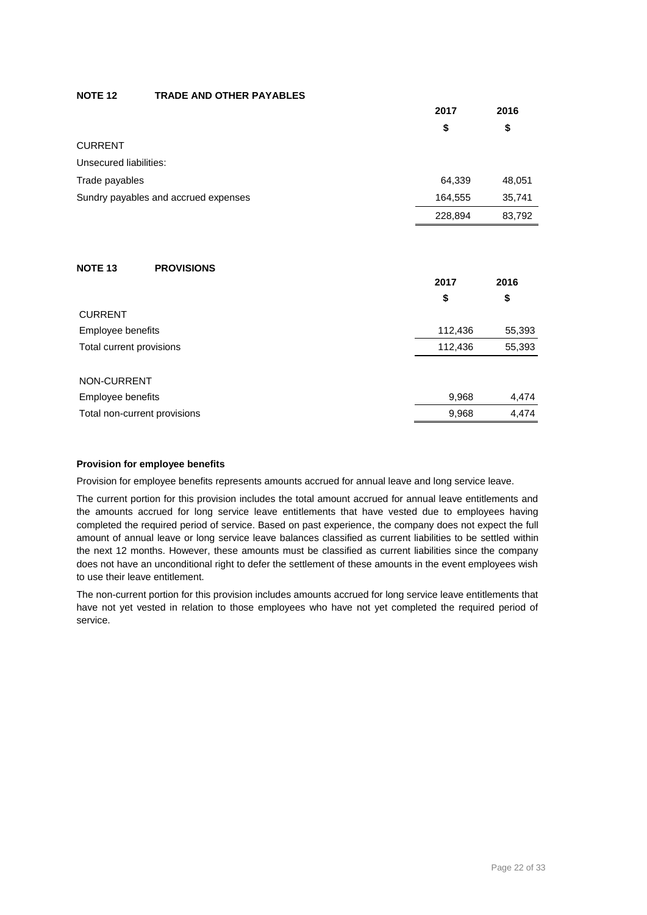### **NOTE 12 TRADE AND OTHER PAYABLES**

|                                      | 2017    | 2016   |
|--------------------------------------|---------|--------|
|                                      | \$      | \$     |
| <b>CURRENT</b>                       |         |        |
| Unsecured liabilities:               |         |        |
| Trade payables                       | 64,339  | 48,051 |
| Sundry payables and accrued expenses | 164,555 | 35,741 |
|                                      | 228,894 | 83,792 |
|                                      |         |        |
| <b>NOTE 13</b><br><b>PROVISIONS</b>  |         |        |
|                                      | 2017    | 2016   |
|                                      | \$      | \$     |
| <b>CURRENT</b>                       |         |        |
| Employee benefits                    | 112,436 | 55,393 |
| Total current provisions             | 112,436 | 55,393 |
|                                      |         |        |
| NON-CURRENT                          |         |        |
| Employee benefits                    | 9,968   | 4,474  |
| Total non-current provisions         | 9,968   | 4,474  |

### **Provision for employee benefits**

Provision for employee benefits represents amounts accrued for annual leave and long service leave.

The current portion for this provision includes the total amount accrued for annual leave entitlements and the amounts accrued for long service leave entitlements that have vested due to employees having completed the required period of service. Based on past experience, the company does not expect the full amount of annual leave or long service leave balances classified as current liabilities to be settled within the next 12 months. However, these amounts must be classified as current liabilities since the company does not have an unconditional right to defer the settlement of these amounts in the event employees wish to use their leave entitlement.

The non-current portion for this provision includes amounts accrued for long service leave entitlements that have not yet vested in relation to those employees who have not yet completed the required period of service.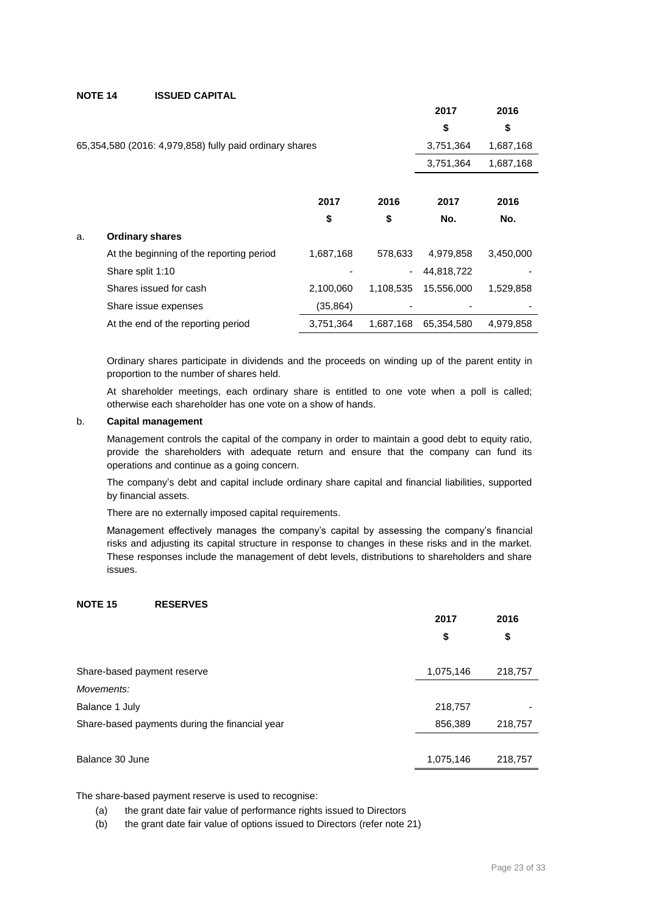### **NOTE 14 ISSUED CAPITAL**

|    |                                                         |           |           | 2017       | 2016      |
|----|---------------------------------------------------------|-----------|-----------|------------|-----------|
|    |                                                         |           |           | \$         | \$        |
|    | 65,354,580 (2016: 4,979,858) fully paid ordinary shares |           |           | 3,751,364  | 1,687,168 |
|    |                                                         |           |           | 3,751,364  | 1,687,168 |
|    |                                                         |           |           |            |           |
|    |                                                         | 2017      | 2016      | 2017       | 2016      |
|    |                                                         | \$        | \$        | No.        | No.       |
| a. | <b>Ordinary shares</b>                                  |           |           |            |           |
|    | At the beginning of the reporting period                | 1,687,168 | 578,633   | 4,979,858  | 3,450,000 |
|    | Share split 1:10                                        |           |           | 44,818,722 |           |
|    | Shares issued for cash                                  | 2,100,060 | 1,108,535 | 15,556,000 | 1,529,858 |
|    | Share issue expenses                                    | (35, 864) |           |            |           |
|    | At the end of the reporting period                      | 3,751,364 | 1,687,168 | 65,354,580 | 4,979,858 |

Ordinary shares participate in dividends and the proceeds on winding up of the parent entity in proportion to the number of shares held.

At shareholder meetings, each ordinary share is entitled to one vote when a poll is called; otherwise each shareholder has one vote on a show of hands.

### b. **Capital management**

Management controls the capital of the company in order to maintain a good debt to equity ratio, provide the shareholders with adequate return and ensure that the company can fund its operations and continue as a going concern.

The company's debt and capital include ordinary share capital and financial liabilities, supported by financial assets.

There are no externally imposed capital requirements.

Management effectively manages the company's capital by assessing the company's financial risks and adjusting its capital structure in response to changes in these risks and in the market. These responses include the management of debt levels, distributions to shareholders and share issues.

### **NOTE 15 RESERVES**

|                                                | 2017      | 2016    |
|------------------------------------------------|-----------|---------|
|                                                | \$        | \$      |
| Share-based payment reserve                    | 1,075,146 | 218,757 |
| Movements:                                     |           |         |
| Balance 1 July                                 | 218,757   |         |
| Share-based payments during the financial year | 856,389   | 218,757 |
|                                                |           |         |
| Balance 30 June                                | 1,075,146 | 218,757 |

The share-based payment reserve is used to recognise:

(a) the grant date fair value of performance rights issued to Directors

(b) the grant date fair value of options issued to Directors (refer note 21)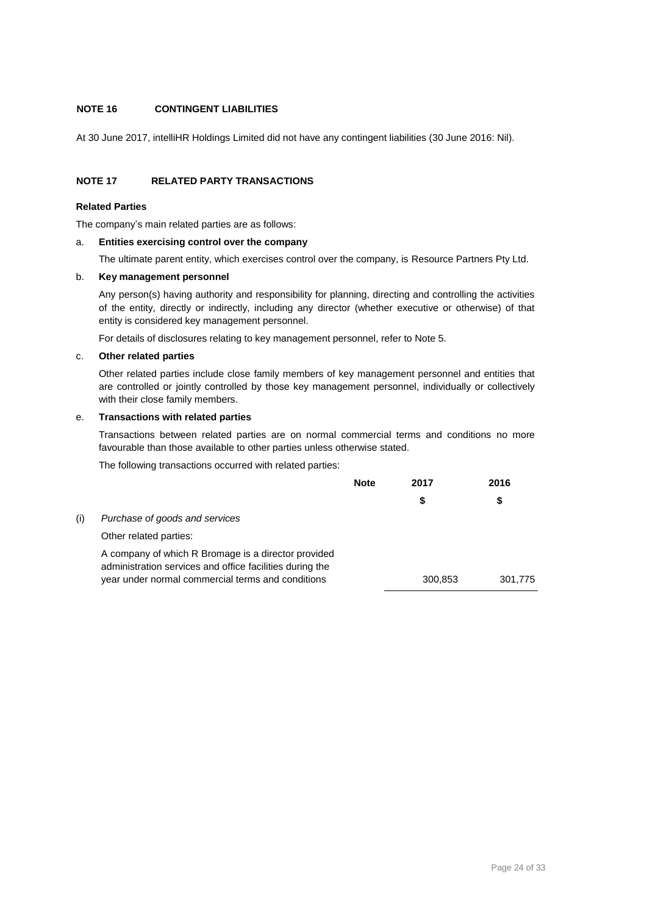### **NOTE 16 CONTINGENT LIABILITIES**

At 30 June 2017, intelliHR Holdings Limited did not have any contingent liabilities (30 June 2016: Nil).

### **NOTE 17 RELATED PARTY TRANSACTIONS**

### **Related Parties**

The company's main related parties are as follows:

### a. **Entities exercising control over the company**

The ultimate parent entity, which exercises control over the company, is Resource Partners Pty Ltd.

### b. **Key management personnel**

Any person(s) having authority and responsibility for planning, directing and controlling the activities of the entity, directly or indirectly, including any director (whether executive or otherwise) of that entity is considered key management personnel.

For details of disclosures relating to key management personnel, refer to Note 5.

### c. **Other related parties**

Other related parties include close family members of key management personnel and entities that are controlled or jointly controlled by those key management personnel, individually or collectively with their close family members.

### e. **Transactions with related parties**

Transactions between related parties are on normal commercial terms and conditions no more favourable than those available to other parties unless otherwise stated.

The following transactions occurred with related parties:

|     |                                                                                                                                                                      | <b>Note</b> | 2017    | 2016    |
|-----|----------------------------------------------------------------------------------------------------------------------------------------------------------------------|-------------|---------|---------|
|     |                                                                                                                                                                      |             | S       | \$      |
| (i) | Purchase of goods and services                                                                                                                                       |             |         |         |
|     | Other related parties:                                                                                                                                               |             |         |         |
|     | A company of which R Bromage is a director provided<br>administration services and office facilities during the<br>year under normal commercial terms and conditions |             | 300,853 | 301,775 |
|     |                                                                                                                                                                      |             |         |         |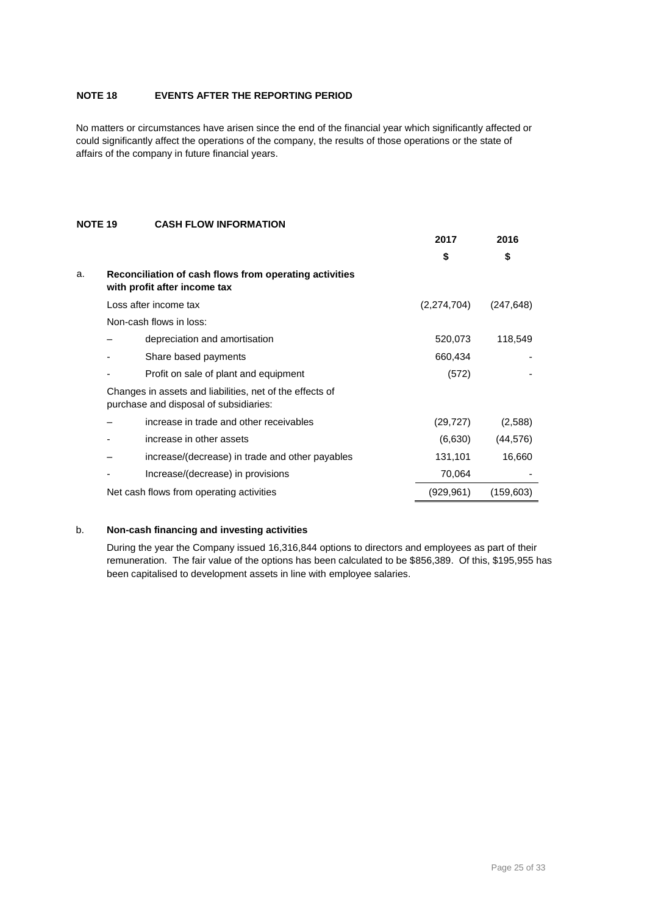### **NOTE 18 EVENTS AFTER THE REPORTING PERIOD**

No matters or circumstances have arisen since the end of the financial year which significantly affected or could significantly affect the operations of the company, the results of those operations or the state of affairs of the company in future financial years.

### **NOTE 19 CASH FLOW INFORMATION**

|    |                                                                                                    | 2017        | 2016       |
|----|----------------------------------------------------------------------------------------------------|-------------|------------|
|    |                                                                                                    | \$          | \$         |
| a. | Reconciliation of cash flows from operating activities<br>with profit after income tax             |             |            |
|    | Loss after income tax                                                                              | (2,274,704) | (247, 648) |
|    | Non-cash flows in loss:                                                                            |             |            |
|    | depreciation and amortisation                                                                      | 520,073     | 118,549    |
|    | Share based payments                                                                               | 660,434     |            |
|    | Profit on sale of plant and equipment                                                              | (572)       |            |
|    | Changes in assets and liabilities, net of the effects of<br>purchase and disposal of subsidiaries: |             |            |
|    | increase in trade and other receivables                                                            | (29, 727)   | (2,588)    |
|    | increase in other assets                                                                           | (6,630)     | (44, 576)  |
|    | increase/(decrease) in trade and other payables                                                    | 131,101     | 16,660     |
|    | Increase/(decrease) in provisions                                                                  | 70,064      |            |
|    | Net cash flows from operating activities                                                           | (929, 961)  | (159,603)  |

### b. **Non-cash financing and investing activities**

During the year the Company issued 16,316,844 options to directors and employees as part of their remuneration. The fair value of the options has been calculated to be \$856,389. Of this, \$195,955 has been capitalised to development assets in line with employee salaries.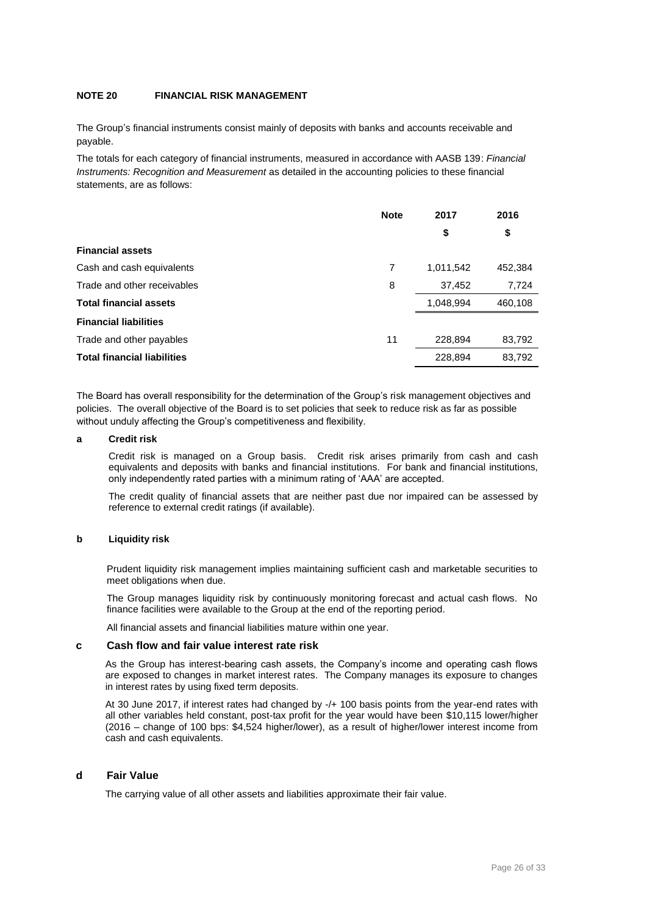### **NOTE 20 FINANCIAL RISK MANAGEMENT**

The Group's financial instruments consist mainly of deposits with banks and accounts receivable and payable.

The totals for each category of financial instruments, measured in accordance with AASB 139: *Financial Instruments: Recognition and Measurement* as detailed in the accounting policies to these financial statements, are as follows:

|                                    | <b>Note</b> | 2017      | 2016    |
|------------------------------------|-------------|-----------|---------|
|                                    |             | \$        | \$      |
| <b>Financial assets</b>            |             |           |         |
| Cash and cash equivalents          | 7           | 1,011,542 | 452,384 |
| Trade and other receivables        | 8           | 37,452    | 7,724   |
| <b>Total financial assets</b>      |             | 1,048,994 | 460,108 |
| <b>Financial liabilities</b>       |             |           |         |
| Trade and other payables           | 11          | 228,894   | 83,792  |
| <b>Total financial liabilities</b> |             | 228,894   | 83,792  |

The Board has overall responsibility for the determination of the Group's risk management objectives and policies. The overall objective of the Board is to set policies that seek to reduce risk as far as possible without unduly affecting the Group's competitiveness and flexibility.

### **a Credit risk**

Credit risk is managed on a Group basis. Credit risk arises primarily from cash and cash equivalents and deposits with banks and financial institutions. For bank and financial institutions, only independently rated parties with a minimum rating of 'AAA' are accepted.

The credit quality of financial assets that are neither past due nor impaired can be assessed by reference to external credit ratings (if available).

### **b Liquidity risk**

Prudent liquidity risk management implies maintaining sufficient cash and marketable securities to meet obligations when due.

The Group manages liquidity risk by continuously monitoring forecast and actual cash flows. No finance facilities were available to the Group at the end of the reporting period.

All financial assets and financial liabilities mature within one year.

#### **c Cash flow and fair value interest rate risk**

As the Group has interest-bearing cash assets, the Company's income and operating cash flows are exposed to changes in market interest rates. The Company manages its exposure to changes in interest rates by using fixed term deposits.

At 30 June 2017, if interest rates had changed by -/+ 100 basis points from the year-end rates with all other variables held constant, post-tax profit for the year would have been \$10,115 lower/higher (2016 – change of 100 bps: \$4,524 higher/lower), as a result of higher/lower interest income from cash and cash equivalents.

### **d Fair Value**

The carrying value of all other assets and liabilities approximate their fair value.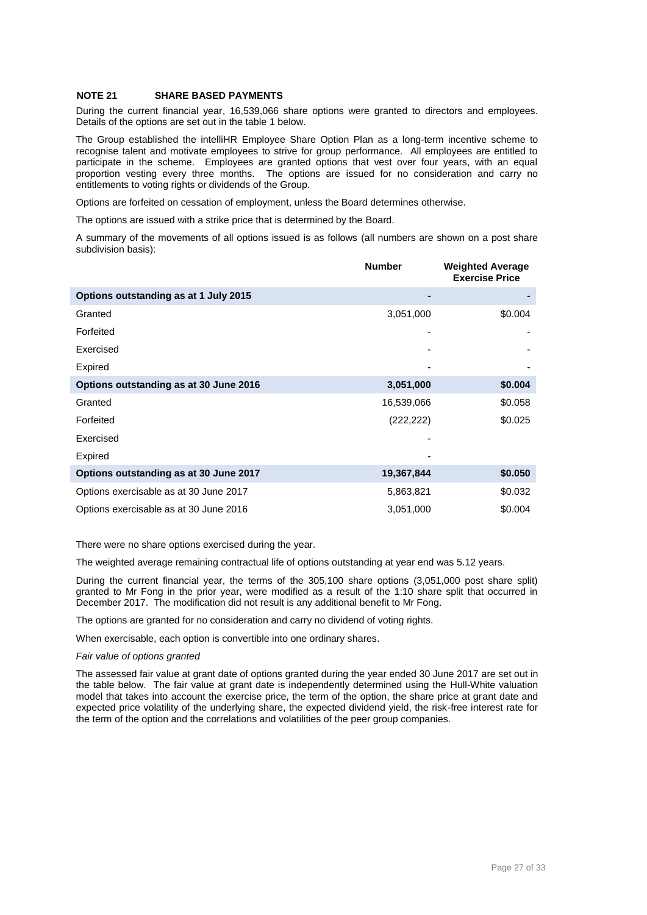### **NOTE 21 SHARE BASED PAYMENTS**

During the current financial year, 16,539,066 share options were granted to directors and employees. Details of the options are set out in the table 1 below.

The Group established the intelliHR Employee Share Option Plan as a long-term incentive scheme to recognise talent and motivate employees to strive for group performance. All employees are entitled to participate in the scheme. Employees are granted options that vest over four years, with an equal proportion vesting every three months. The options are issued for no consideration and carry no entitlements to voting rights or dividends of the Group.

Options are forfeited on cessation of employment, unless the Board determines otherwise.

The options are issued with a strike price that is determined by the Board.

A summary of the movements of all options issued is as follows (all numbers are shown on a post share subdivision basis):

|                                        | <b>Number</b> | <b>Weighted Average</b><br><b>Exercise Price</b> |
|----------------------------------------|---------------|--------------------------------------------------|
| Options outstanding as at 1 July 2015  |               |                                                  |
| Granted                                | 3,051,000     | \$0.004                                          |
| Forfeited                              |               |                                                  |
| Exercised                              |               |                                                  |
| <b>Expired</b>                         |               |                                                  |
| Options outstanding as at 30 June 2016 | 3,051,000     | \$0.004                                          |
| Granted                                | 16,539,066    | \$0.058                                          |
| Forfeited                              | (222, 222)    | \$0.025                                          |
| Exercised                              |               |                                                  |
| <b>Expired</b>                         |               |                                                  |
| Options outstanding as at 30 June 2017 | 19,367,844    | \$0.050                                          |
| Options exercisable as at 30 June 2017 | 5,863,821     | \$0.032                                          |
| Options exercisable as at 30 June 2016 | 3,051,000     | \$0.004                                          |

There were no share options exercised during the year.

The weighted average remaining contractual life of options outstanding at year end was 5.12 years.

During the current financial year, the terms of the 305,100 share options (3,051,000 post share split) granted to Mr Fong in the prior year, were modified as a result of the 1:10 share split that occurred in December 2017. The modification did not result is any additional benefit to Mr Fong.

The options are granted for no consideration and carry no dividend of voting rights.

When exercisable, each option is convertible into one ordinary shares.

#### *Fair value of options granted*

The assessed fair value at grant date of options granted during the year ended 30 June 2017 are set out in the table below. The fair value at grant date is independently determined using the Hull-White valuation model that takes into account the exercise price, the term of the option, the share price at grant date and expected price volatility of the underlying share, the expected dividend yield, the risk-free interest rate for the term of the option and the correlations and volatilities of the peer group companies.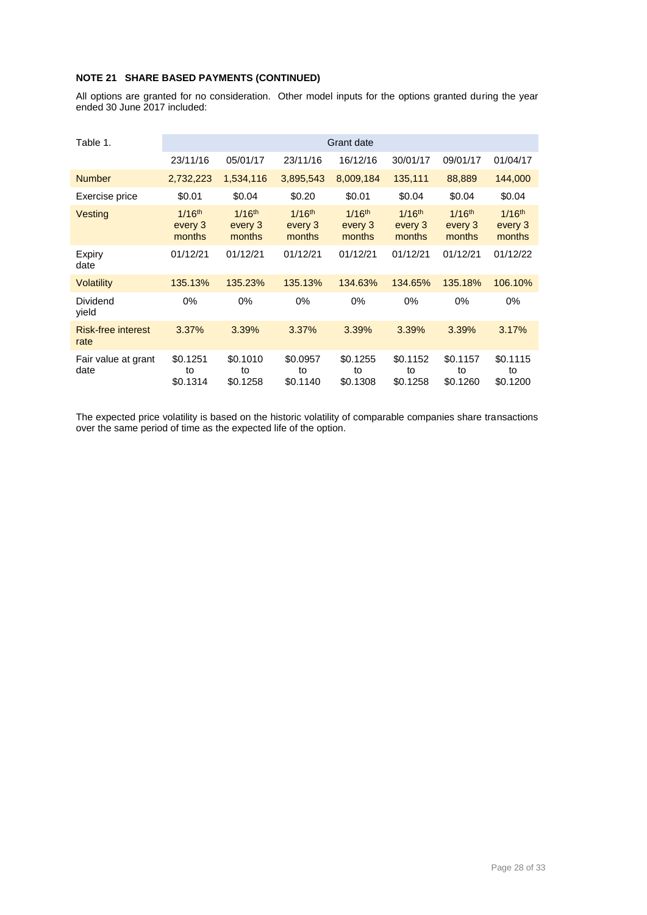### **NOTE 21 SHARE BASED PAYMENTS (CONTINUED)**

All options are granted for no consideration. Other model inputs for the options granted during the year ended 30 June 2017 included:

| Table 1.                          | Grant date                       |                                  |                                  |                                  |                                  |                                           |                                  |
|-----------------------------------|----------------------------------|----------------------------------|----------------------------------|----------------------------------|----------------------------------|-------------------------------------------|----------------------------------|
|                                   | 23/11/16                         | 05/01/17                         | 23/11/16                         | 16/12/16                         | 30/01/17                         | 09/01/17                                  | 01/04/17                         |
| <b>Number</b>                     | 2,732,223                        | 1,534,116                        | 3,895,543                        | 8,009,184                        | 135,111                          | 88,889                                    | 144,000                          |
| Exercise price                    | \$0.01                           | \$0.04                           | \$0.20                           | \$0.01                           | \$0.04                           | \$0.04                                    | \$0.04                           |
| Vesting                           | $1/16^{th}$<br>every 3<br>months | $1/16^{th}$<br>every 3<br>months | $1/16^{th}$<br>every 3<br>months | $1/16^{th}$<br>every 3<br>months | $1/16^{th}$<br>every 3<br>months | $1/16$ <sup>th</sup><br>every 3<br>months | $1/16^{th}$<br>every 3<br>months |
| Expiry<br>date                    | 01/12/21                         | 01/12/21                         | 01/12/21                         | 01/12/21                         | 01/12/21                         | 01/12/21                                  | 01/12/22                         |
| <b>Volatility</b>                 | 135.13%                          | 135.23%                          | 135.13%                          | 134.63%                          | 134.65%                          | 135.18%                                   | 106.10%                          |
| Dividend<br>yield                 | 0%                               | $0\%$                            | 0%                               | $0\%$                            | $0\%$                            | $0\%$                                     | $0\%$                            |
| <b>Risk-free interest</b><br>rate | 3.37%                            | 3.39%                            | 3.37%                            | 3.39%                            | 3.39%                            | 3.39%                                     | 3.17%                            |
| Fair value at grant<br>date       | \$0.1251<br>to<br>\$0.1314       | \$0.1010<br>to<br>\$0.1258       | \$0.0957<br>to<br>\$0.1140       | \$0.1255<br>to<br>\$0.1308       | \$0.1152<br>to<br>\$0.1258       | \$0.1157<br>to<br>\$0.1260                | \$0.1115<br>to<br>\$0.1200       |

The expected price volatility is based on the historic volatility of comparable companies share transactions over the same period of time as the expected life of the option.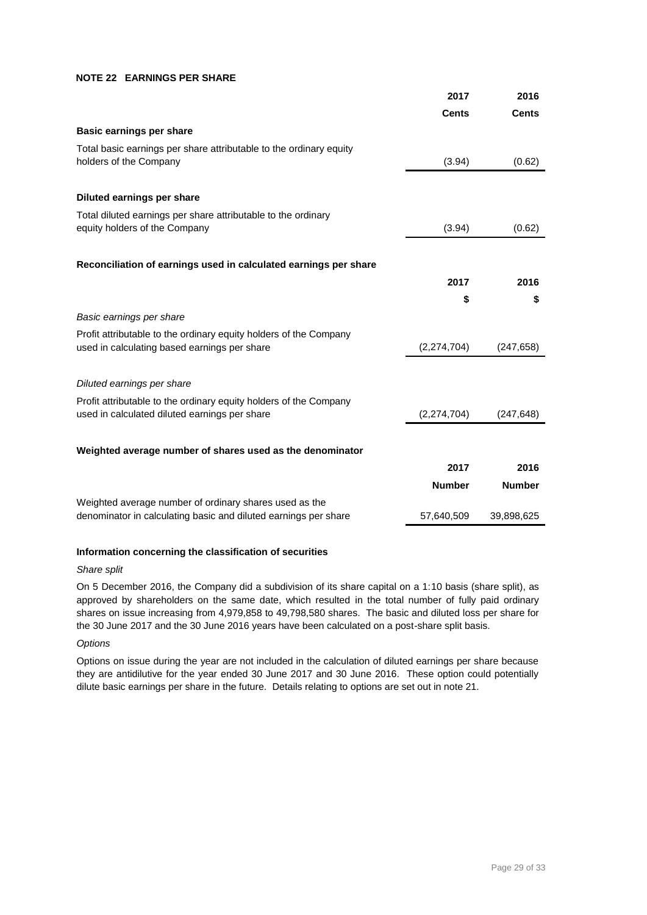### **NOTE 22 EARNINGS PER SHARE**

|                                                                                                                           | 2017          | 2016          |
|---------------------------------------------------------------------------------------------------------------------------|---------------|---------------|
|                                                                                                                           | <b>Cents</b>  | <b>Cents</b>  |
| <b>Basic earnings per share</b>                                                                                           |               |               |
| Total basic earnings per share attributable to the ordinary equity<br>holders of the Company                              | (3.94)        | (0.62)        |
| Diluted earnings per share                                                                                                |               |               |
| Total diluted earnings per share attributable to the ordinary<br>equity holders of the Company                            | (3.94)        | (0.62)        |
| Reconciliation of earnings used in calculated earnings per share                                                          |               |               |
|                                                                                                                           | 2017          | 2016          |
|                                                                                                                           | \$            | \$            |
| Basic earnings per share                                                                                                  |               |               |
| Profit attributable to the ordinary equity holders of the Company<br>used in calculating based earnings per share         | (2,274,704)   | (247, 658)    |
| Diluted earnings per share                                                                                                |               |               |
| Profit attributable to the ordinary equity holders of the Company<br>used in calculated diluted earnings per share        | (2,274,704)   | (247, 648)    |
| Weighted average number of shares used as the denominator                                                                 |               |               |
|                                                                                                                           | 2017          | 2016          |
|                                                                                                                           | <b>Number</b> | <b>Number</b> |
| Weighted average number of ordinary shares used as the<br>denominator in calculating basic and diluted earnings per share | 57,640,509    | 39,898,625    |

### **Information concerning the classification of securities**

### *Share split*

On 5 December 2016, the Company did a subdivision of its share capital on a 1:10 basis (share split), as approved by shareholders on the same date, which resulted in the total number of fully paid ordinary shares on issue increasing from 4,979,858 to 49,798,580 shares. The basic and diluted loss per share for the 30 June 2017 and the 30 June 2016 years have been calculated on a post-share split basis.

### *Options*

Options on issue during the year are not included in the calculation of diluted earnings per share because they are antidilutive for the year ended 30 June 2017 and 30 June 2016. These option could potentially dilute basic earnings per share in the future. Details relating to options are set out in note 21.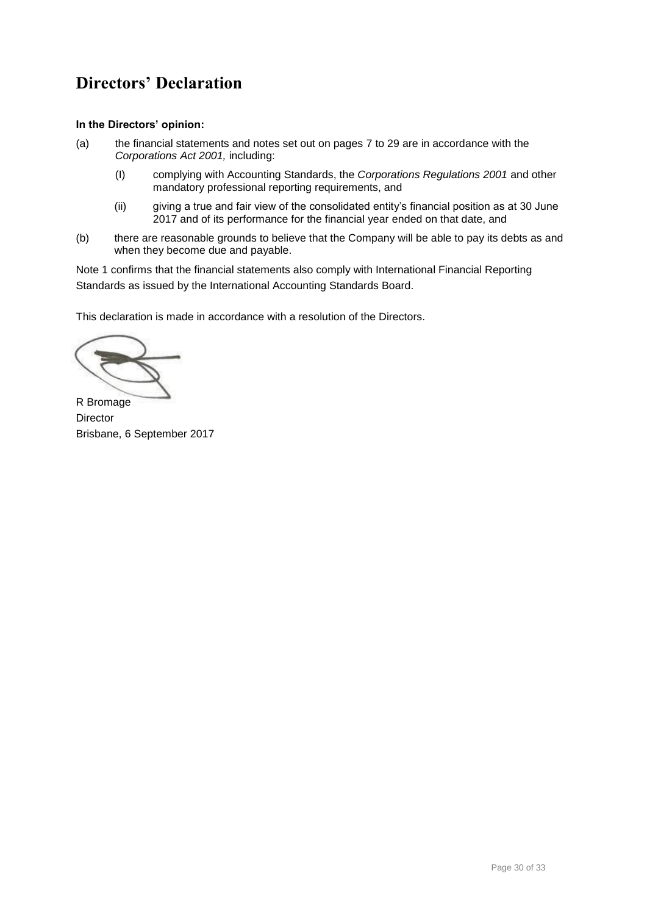## **Directors' Declaration**

### **In the Directors' opinion:**

- (a) the financial statements and notes set out on pages 7 to 29 are in accordance with the *Corporations Act 2001,* including:
	- (I) complying with Accounting Standards, the *Corporations Regulations 2001* and other mandatory professional reporting requirements, and
	- (ii) giving a true and fair view of the consolidated entity's financial position as at 30 June 2017 and of its performance for the financial year ended on that date, and
- (b) there are reasonable grounds to believe that the Company will be able to pay its debts as and when they become due and payable.

Note 1 confirms that the financial statements also comply with International Financial Reporting Standards as issued by the International Accounting Standards Board.

This declaration is made in accordance with a resolution of the Directors.

R Bromage **Director** Brisbane, 6 September 2017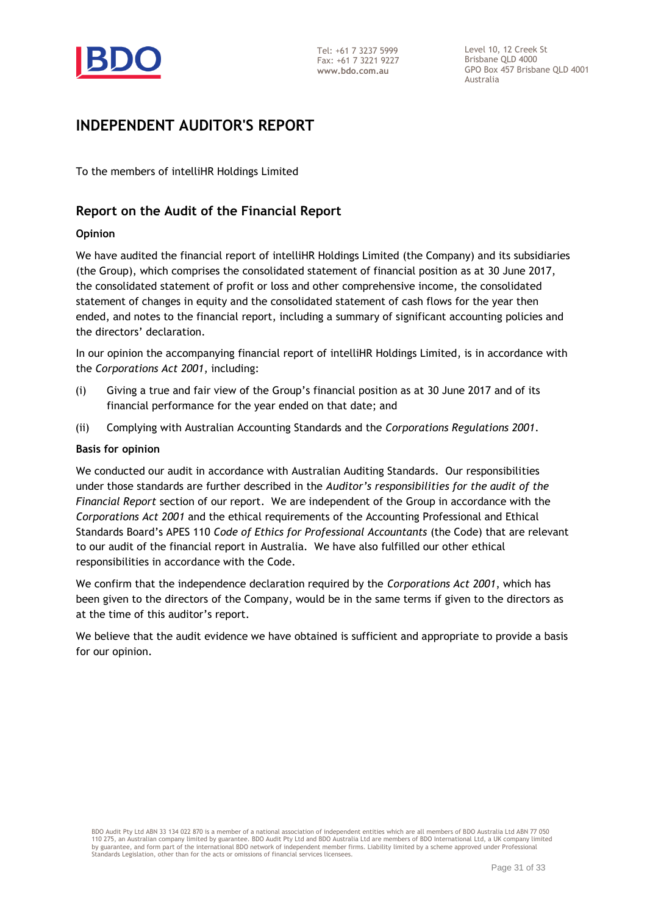

Level 10, 12 Creek St Brisbane QLD 4000 GPO Box 457 Brisbane QLD 4001 Australia

### **INDEPENDENT AUDITOR'S REPORT**

To the members of intelliHR Holdings Limited

### **Report on the Audit of the Financial Report**

### **Opinion**

We have audited the financial report of intelliHR Holdings Limited (the Company) and its subsidiaries (the Group), which comprises the consolidated statement of financial position as at 30 June 2017, the consolidated statement of profit or loss and other comprehensive income, the consolidated statement of changes in equity and the consolidated statement of cash flows for the year then ended, and notes to the financial report, including a summary of significant accounting policies and the directors' declaration.

In our opinion the accompanying financial report of intelliHR Holdings Limited, is in accordance with the *Corporations Act 2001*, including:

- (i) Giving a true and fair view of the Group's financial position as at 30 June 2017 and of its financial performance for the year ended on that date; and
- (ii) Complying with Australian Accounting Standards and the *Corporations Regulations 2001*.

### **Basis for opinion**

We conducted our audit in accordance with Australian Auditing Standards. Our responsibilities under those standards are further described in the *Auditor's responsibilities for the audit of the Financial Report* section of our report. We are independent of the Group in accordance with the *Corporations Act 2001* and the ethical requirements of the Accounting Professional and Ethical Standards Board's APES 110 *Code of Ethics for Professional Accountants* (the Code) that are relevant to our audit of the financial report in Australia. We have also fulfilled our other ethical responsibilities in accordance with the Code.

We confirm that the independence declaration required by the *Corporations Act 2001*, which has been given to the directors of the Company, would be in the same terms if given to the directors as at the time of this auditor's report.

We believe that the audit evidence we have obtained is sufficient and appropriate to provide a basis for our opinion.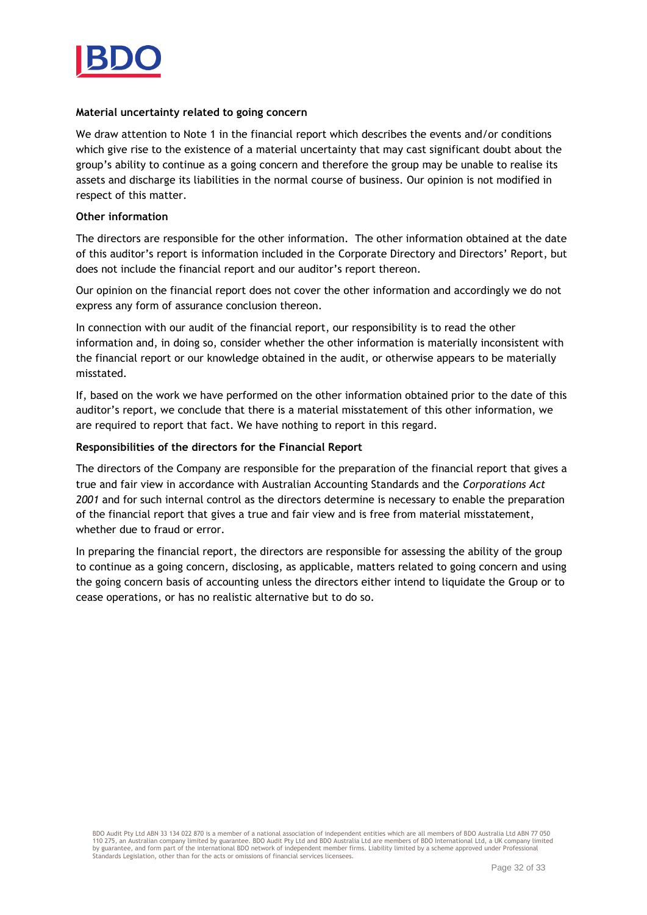

### **Material uncertainty related to going concern**

We draw attention to Note 1 in the financial report which describes the events and/or conditions which give rise to the existence of a material uncertainty that may cast significant doubt about the group's ability to continue as a going concern and therefore the group may be unable to realise its assets and discharge its liabilities in the normal course of business. Our opinion is not modified in respect of this matter.

### **Other information**

The directors are responsible for the other information. The other information obtained at the date of this auditor's report is information included in the Corporate Directory and Directors' Report, but does not include the financial report and our auditor's report thereon.

Our opinion on the financial report does not cover the other information and accordingly we do not express any form of assurance conclusion thereon.

In connection with our audit of the financial report, our responsibility is to read the other information and, in doing so, consider whether the other information is materially inconsistent with the financial report or our knowledge obtained in the audit, or otherwise appears to be materially misstated.

If, based on the work we have performed on the other information obtained prior to the date of this auditor's report, we conclude that there is a material misstatement of this other information, we are required to report that fact. We have nothing to report in this regard.

### **Responsibilities of the directors for the Financial Report**

The directors of the Company are responsible for the preparation of the financial report that gives a true and fair view in accordance with Australian Accounting Standards and the *Corporations Act 2001* and for such internal control as the directors determine is necessary to enable the preparation of the financial report that gives a true and fair view and is free from material misstatement, whether due to fraud or error.

In preparing the financial report, the directors are responsible for assessing the ability of the group to continue as a going concern, disclosing, as applicable, matters related to going concern and using the going concern basis of accounting unless the directors either intend to liquidate the Group or to cease operations, or has no realistic alternative but to do so.